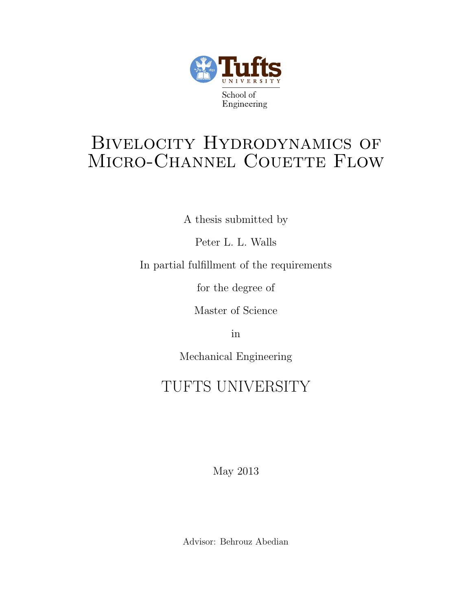

# BIVELOCITY HYDRODYNAMICS OF MICRO-CHANNEL COUETTE FLOW

A thesis submitted by

Peter L. L. Walls

In partial fulfillment of the requirements

for the degree of

Master of Science

in

Mechanical Engineering

# TUFTS UNIVERSITY

May 2013

Advisor: Behrouz Abedian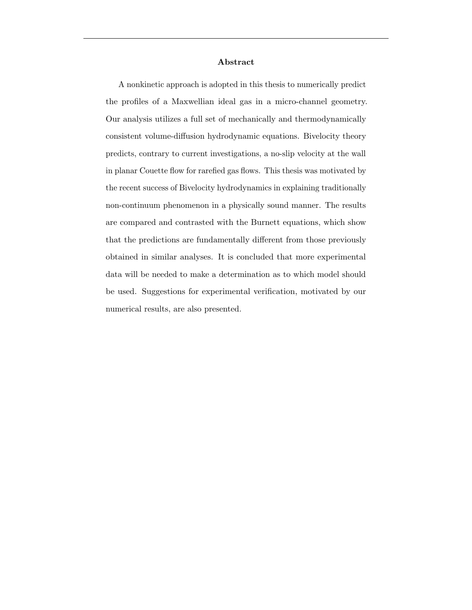#### Abstract

A nonkinetic approach is adopted in this thesis to numerically predict the profiles of a Maxwellian ideal gas in a micro-channel geometry. Our analysis utilizes a full set of mechanically and thermodynamically consistent volume-diffusion hydrodynamic equations. Bivelocity theory predicts, contrary to current investigations, a no-slip velocity at the wall in planar Couette flow for rarefied gas flows. This thesis was motivated by the recent success of Bivelocity hydrodynamics in explaining traditionally non-continuum phenomenon in a physically sound manner. The results are compared and contrasted with the Burnett equations, which show that the predictions are fundamentally different from those previously obtained in similar analyses. It is concluded that more experimental data will be needed to make a determination as to which model should be used. Suggestions for experimental verification, motivated by our numerical results, are also presented.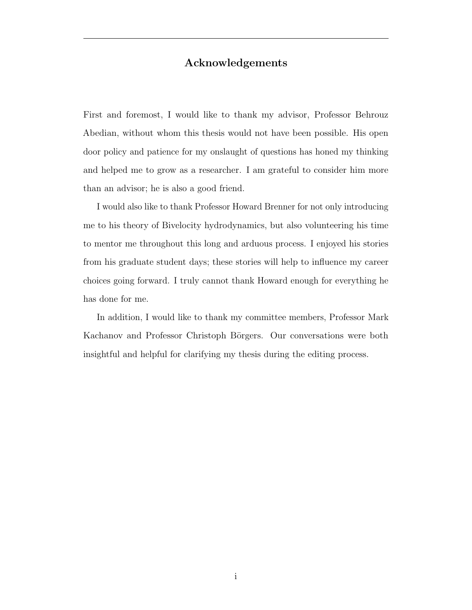### Acknowledgements

First and foremost, I would like to thank my advisor, Professor Behrouz Abedian, without whom this thesis would not have been possible. His open door policy and patience for my onslaught of questions has honed my thinking and helped me to grow as a researcher. I am grateful to consider him more than an advisor; he is also a good friend.

I would also like to thank Professor Howard Brenner for not only introducing me to his theory of Bivelocity hydrodynamics, but also volunteering his time to mentor me throughout this long and arduous process. I enjoyed his stories from his graduate student days; these stories will help to influence my career choices going forward. I truly cannot thank Howard enough for everything he has done for me.

In addition, I would like to thank my committee members, Professor Mark Kachanov and Professor Christoph Börgers. Our conversations were both insightful and helpful for clarifying my thesis during the editing process.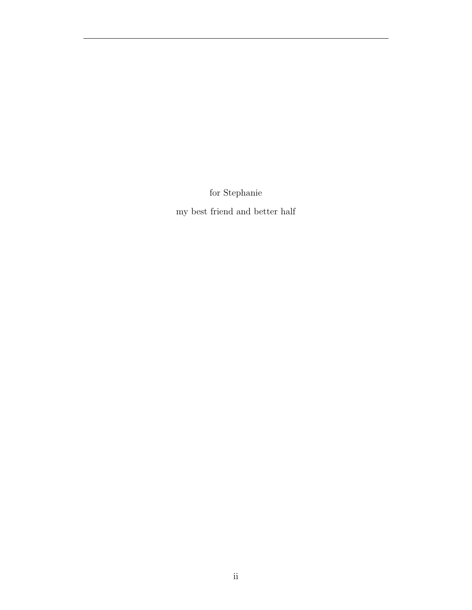for Stephanie

my best friend and better half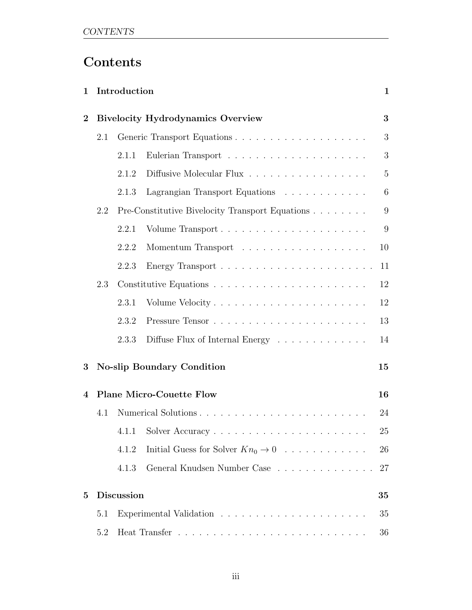# Contents

| 1              | Introduction      |                                   |                                                 |                |
|----------------|-------------------|-----------------------------------|-------------------------------------------------|----------------|
| $\overline{2}$ |                   |                                   | <b>Bivelocity Hydrodynamics Overview</b>        | 3              |
|                | 2.1               |                                   |                                                 | 3              |
|                |                   | 2.1.1                             |                                                 | 3              |
|                |                   | 2.1.2                             | Diffusive Molecular Flux                        | $\overline{5}$ |
|                |                   | 2.1.3                             | Lagrangian Transport Equations                  | 6              |
| 2.2            |                   |                                   | Pre-Constitutive Bivelocity Transport Equations | 9              |
|                |                   | 2.2.1                             |                                                 | 9              |
|                |                   | 2.2.2                             |                                                 | 10             |
|                |                   | 2.2.3                             |                                                 | 11             |
|                | 2.3               |                                   |                                                 | 12             |
|                |                   | 2.3.1                             |                                                 | 12             |
|                |                   | 2.3.2                             |                                                 | 13             |
|                |                   | 2.3.3                             | Diffuse Flux of Internal Energy                 | 14             |
| 3              |                   | <b>No-slip Boundary Condition</b> |                                                 | 15             |
| 4              |                   |                                   | <b>Plane Micro-Couette Flow</b>                 | 16             |
|                | 4.1               |                                   |                                                 | 24             |
|                |                   |                                   |                                                 | $25\,$         |
|                |                   | 4.1.2                             | Initial Guess for Solver $Kn_0 \to 0$           | 26             |
|                |                   | 4.1.3                             | General Knudsen Number Case                     | 27             |
| $\bf{5}$       | <b>Discussion</b> |                                   |                                                 |                |
|                | 5.1               |                                   |                                                 | 35             |
|                | 5.2               |                                   |                                                 | 36             |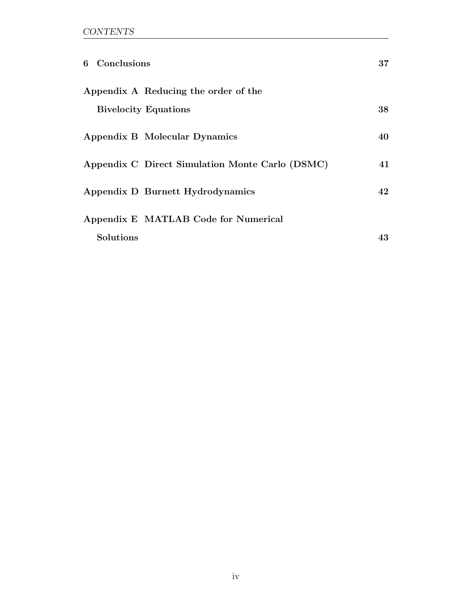| 6 Conclusions               |                                                 | 37 |
|-----------------------------|-------------------------------------------------|----|
|                             | Appendix A Reducing the order of the            |    |
| <b>Bivelocity Equations</b> |                                                 | 38 |
|                             | Appendix B Molecular Dynamics                   | 40 |
|                             | Appendix C Direct Simulation Monte Carlo (DSMC) | 41 |
|                             | Appendix D Burnett Hydrodynamics                | 42 |
|                             | Appendix E MATLAB Code for Numerical            |    |
| <b>Solutions</b>            |                                                 | 43 |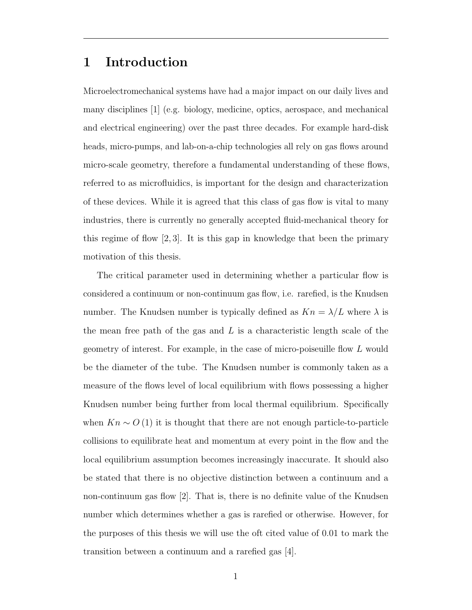## 1 Introduction

Microelectromechanical systems have had a major impact on our daily lives and many disciplines [1] (e.g. biology, medicine, optics, aerospace, and mechanical and electrical engineering) over the past three decades. For example hard-disk heads, micro-pumps, and lab-on-a-chip technologies all rely on gas flows around micro-scale geometry, therefore a fundamental understanding of these flows, referred to as microfluidics, is important for the design and characterization of these devices. While it is agreed that this class of gas flow is vital to many industries, there is currently no generally accepted fluid-mechanical theory for this regime of flow  $[2,3]$ . It is this gap in knowledge that been the primary motivation of this thesis.

The critical parameter used in determining whether a particular flow is considered a continuum or non-continuum gas flow, i.e. rarefied, is the Knudsen number. The Knudsen number is typically defined as  $Kn = \lambda/L$  where  $\lambda$  is the mean free path of the gas and  $L$  is a characteristic length scale of the geometry of interest. For example, in the case of micro-poiseuille flow L would be the diameter of the tube. The Knudsen number is commonly taken as a measure of the flows level of local equilibrium with flows possessing a higher Knudsen number being further from local thermal equilibrium. Specifically when  $Kn \sim O(1)$  it is thought that there are not enough particle-to-particle collisions to equilibrate heat and momentum at every point in the flow and the local equilibrium assumption becomes increasingly inaccurate. It should also be stated that there is no objective distinction between a continuum and a non-continuum gas flow [2]. That is, there is no definite value of the Knudsen number which determines whether a gas is rarefied or otherwise. However, for the purposes of this thesis we will use the oft cited value of 0.01 to mark the transition between a continuum and a rarefied gas [4].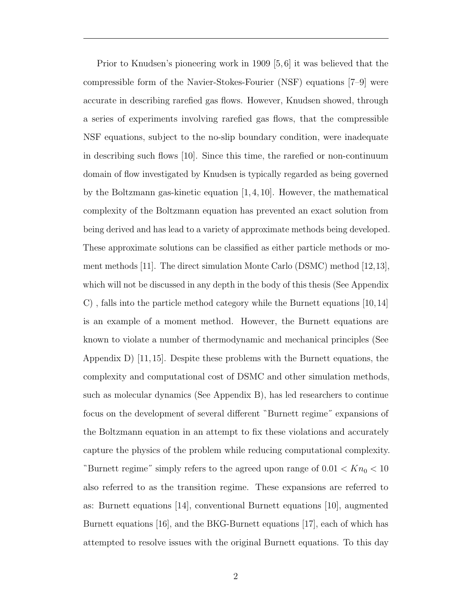Prior to Knudsen's pioneering work in 1909 [5, 6] it was believed that the compressible form of the Navier-Stokes-Fourier (NSF) equations [7–9] were accurate in describing rarefied gas flows. However, Knudsen showed, through a series of experiments involving rarefied gas flows, that the compressible NSF equations, subject to the no-slip boundary condition, were inadequate in describing such flows [10]. Since this time, the rarefied or non-continuum domain of flow investigated by Knudsen is typically regarded as being governed by the Boltzmann gas-kinetic equation [1, 4, 10]. However, the mathematical complexity of the Boltzmann equation has prevented an exact solution from being derived and has lead to a variety of approximate methods being developed. These approximate solutions can be classified as either particle methods or moment methods [11]. The direct simulation Monte Carlo (DSMC) method [12,13], which will not be discussed in any depth in the body of this thesis (See Appendix C) , falls into the particle method category while the Burnett equations [10,14] is an example of a moment method. However, the Burnett equations are known to violate a number of thermodynamic and mechanical principles (See Appendix D) [11, 15]. Despite these problems with the Burnett equations, the complexity and computational cost of DSMC and other simulation methods, such as molecular dynamics (See Appendix B), has led researchers to continue focus on the development of several different "Burnett regime" expansions of the Boltzmann equation in an attempt to fix these violations and accurately capture the physics of the problem while reducing computational complexity. "Burnett regime" simply refers to the agreed upon range of  $0.01 < Kn_0 < 10$ also referred to as the transition regime. These expansions are referred to as: Burnett equations [14], conventional Burnett equations [10], augmented Burnett equations [16], and the BKG-Burnett equations [17], each of which has attempted to resolve issues with the original Burnett equations. To this day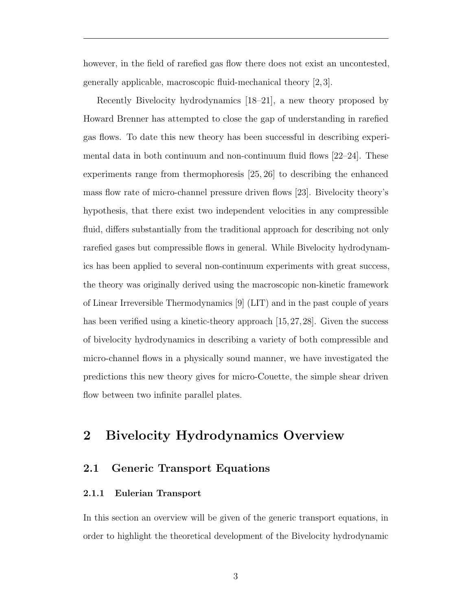however, in the field of rarefied gas flow there does not exist an uncontested, generally applicable, macroscopic fluid-mechanical theory [2, 3].

Recently Bivelocity hydrodynamics [18–21], a new theory proposed by Howard Brenner has attempted to close the gap of understanding in rarefied gas flows. To date this new theory has been successful in describing experimental data in both continuum and non-continuum fluid flows [22–24]. These experiments range from thermophoresis [25, 26] to describing the enhanced mass flow rate of micro-channel pressure driven flows [23]. Bivelocity theory's hypothesis, that there exist two independent velocities in any compressible fluid, differs substantially from the traditional approach for describing not only rarefied gases but compressible flows in general. While Bivelocity hydrodynamics has been applied to several non-continuum experiments with great success, the theory was originally derived using the macroscopic non-kinetic framework of Linear Irreversible Thermodynamics [9] (LIT) and in the past couple of years has been verified using a kinetic-theory approach [15,27,28]. Given the success of bivelocity hydrodynamics in describing a variety of both compressible and micro-channel flows in a physically sound manner, we have investigated the predictions this new theory gives for micro-Couette, the simple shear driven flow between two infinite parallel plates.

## 2 Bivelocity Hydrodynamics Overview

### 2.1 Generic Transport Equations

#### 2.1.1 Eulerian Transport

In this section an overview will be given of the generic transport equations, in order to highlight the theoretical development of the Bivelocity hydrodynamic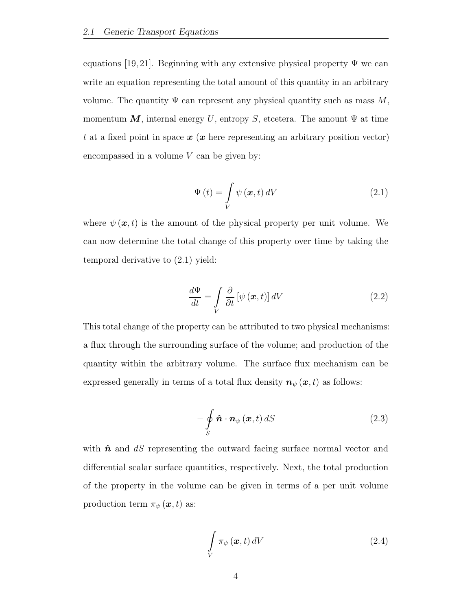equations [19, 21]. Beginning with any extensive physical property  $\Psi$  we can write an equation representing the total amount of this quantity in an arbitrary volume. The quantity  $\Psi$  can represent any physical quantity such as mass M, momentum M, internal energy U, entropy S, etcetera. The amount  $\Psi$  at time t at a fixed point in space  $x(x)$  here representing an arbitrary position vector) encompassed in a volume  $V$  can be given by:

$$
\Psi(t) = \int\limits_V \psi(\mathbf{x}, t) \, dV \tag{2.1}
$$

where  $\psi(\mathbf{x},t)$  is the amount of the physical property per unit volume. We can now determine the total change of this property over time by taking the temporal derivative to (2.1) yield:

$$
\frac{d\Psi}{dt} = \int\limits_{V} \frac{\partial}{\partial t} \left[ \psi \left( \boldsymbol{x}, t \right) \right] dV \tag{2.2}
$$

This total change of the property can be attributed to two physical mechanisms: a flux through the surrounding surface of the volume; and production of the quantity within the arbitrary volume. The surface flux mechanism can be expressed generally in terms of a total flux density  $n_{\psi}(x, t)$  as follows:

$$
-\oint_{S} \hat{\boldsymbol{n}} \cdot \boldsymbol{n}_{\psi}(\boldsymbol{x},t) dS \qquad (2.3)
$$

with  $\hat{\boldsymbol{n}}$  and  $dS$  representing the outward facing surface normal vector and differential scalar surface quantities, respectively. Next, the total production of the property in the volume can be given in terms of a per unit volume production term  $\pi_{\psi}(\boldsymbol{x},t)$  as:

$$
\int\limits_V \pi_{\psi}(\boldsymbol{x},t) \, dV \tag{2.4}
$$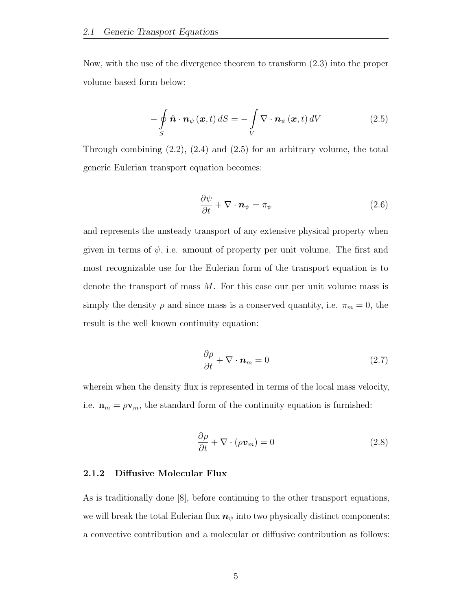Now, with the use of the divergence theorem to transform (2.3) into the proper volume based form below:

$$
-\oint_{S} \hat{\boldsymbol{n}} \cdot \boldsymbol{n}_{\psi}(\boldsymbol{x},t) dS = -\int_{V} \nabla \cdot \boldsymbol{n}_{\psi}(\boldsymbol{x},t) dV
$$
\n(2.5)

Through combining  $(2.2)$ ,  $(2.4)$  and  $(2.5)$  for an arbitrary volume, the total generic Eulerian transport equation becomes:

$$
\frac{\partial \psi}{\partial t} + \nabla \cdot \mathbf{n}_{\psi} = \pi_{\psi} \tag{2.6}
$$

and represents the unsteady transport of any extensive physical property when given in terms of  $\psi$ , i.e. amount of property per unit volume. The first and most recognizable use for the Eulerian form of the transport equation is to denote the transport of mass M. For this case our per unit volume mass is simply the density  $\rho$  and since mass is a conserved quantity, i.e.  $\pi_m = 0$ , the result is the well known continuity equation:

$$
\frac{\partial \rho}{\partial t} + \nabla \cdot \mathbf{n}_m = 0 \tag{2.7}
$$

wherein when the density flux is represented in terms of the local mass velocity, i.e.  $\mathbf{n}_m = \rho \mathbf{v}_m$ , the standard form of the continuity equation is furnished:

$$
\frac{\partial \rho}{\partial t} + \nabla \cdot (\rho \boldsymbol{v}_m) = 0 \tag{2.8}
$$

#### 2.1.2 Diffusive Molecular Flux

As is traditionally done [8], before continuing to the other transport equations, we will break the total Eulerian flux  $n_{\psi}$  into two physically distinct components: a convective contribution and a molecular or diffusive contribution as follows: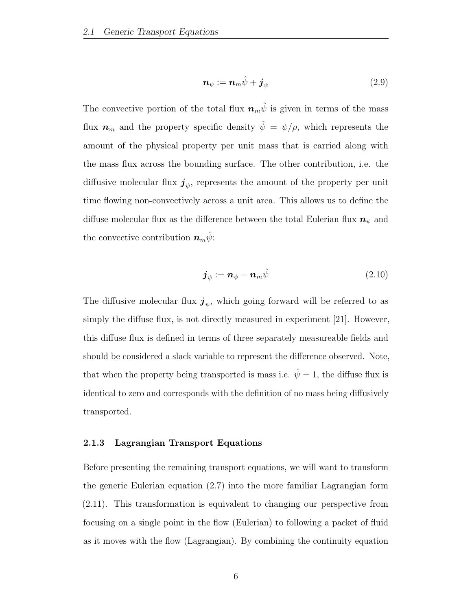$$
\boldsymbol{n}_{\psi} := \boldsymbol{n}_{m}\hat{\psi} + \boldsymbol{j}_{\psi} \tag{2.9}
$$

The convective portion of the total flux  $\boldsymbol{n}_{m} \hat{\psi}$  is given in terms of the mass flux  $n_m$  and the property specific density  $\hat{\psi} = \psi/\rho$ , which represents the amount of the physical property per unit mass that is carried along with the mass flux across the bounding surface. The other contribution, i.e. the diffusive molecular flux  $\boldsymbol{j}_{\psi}$ , represents the amount of the property per unit time flowing non-convectively across a unit area. This allows us to define the diffuse molecular flux as the difference between the total Eulerian flux  $n_{\psi}$  and the convective contribution  $\boldsymbol{n}_m \hat{\psi}$ :

$$
\boldsymbol{j}_{\psi} := \boldsymbol{n}_{\psi} - \boldsymbol{n}_{m} \hat{\psi} \tag{2.10}
$$

The diffusive molecular flux  $\boldsymbol{j}_{\psi}$ , which going forward will be referred to as simply the diffuse flux, is not directly measured in experiment [21]. However, this diffuse flux is defined in terms of three separately measureable fields and should be considered a slack variable to represent the difference observed. Note, that when the property being transported is mass i.e.  $\hat{\psi} = 1$ , the diffuse flux is identical to zero and corresponds with the definition of no mass being diffusively transported.

### 2.1.3 Lagrangian Transport Equations

Before presenting the remaining transport equations, we will want to transform the generic Eulerian equation (2.7) into the more familiar Lagrangian form (2.11). This transformation is equivalent to changing our perspective from focusing on a single point in the flow (Eulerian) to following a packet of fluid as it moves with the flow (Lagrangian). By combining the continuity equation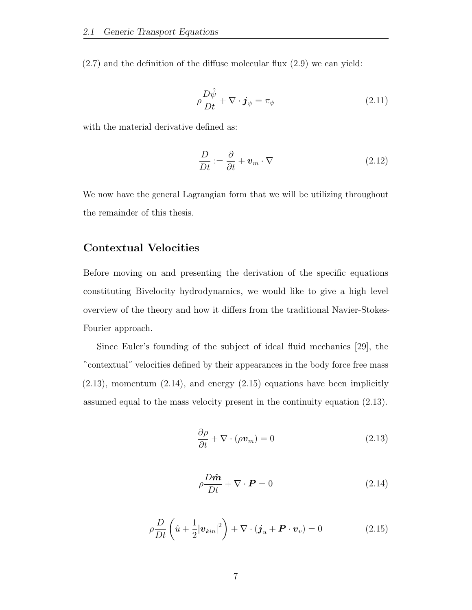$(2.7)$  and the definition of the diffuse molecular flux  $(2.9)$  we can yield:

$$
\rho \frac{D\hat{\psi}}{Dt} + \nabla \cdot \boldsymbol{j}_{\psi} = \pi_{\psi} \tag{2.11}
$$

with the material derivative defined as:

$$
\frac{D}{Dt} := \frac{\partial}{\partial t} + \boldsymbol{v}_m \cdot \nabla \tag{2.12}
$$

We now have the general Lagrangian form that we will be utilizing throughout the remainder of this thesis.

### Contextual Velocities

Before moving on and presenting the derivation of the specific equations constituting Bivelocity hydrodynamics, we would like to give a high level overview of the theory and how it differs from the traditional Navier-Stokes-Fourier approach.

Since Euler's founding of the subject of ideal fluid mechanics [29], the contextual˝ velocities defined by their appearances in the body force free mass  $(2.13)$ , momentum  $(2.14)$ , and energy  $(2.15)$  equations have been implicitly assumed equal to the mass velocity present in the continuity equation (2.13).

$$
\frac{\partial \rho}{\partial t} + \nabla \cdot (\rho \boldsymbol{v}_m) = 0 \tag{2.13}
$$

$$
\rho \frac{D\hat{\mathbf{m}}}{Dt} + \nabla \cdot \mathbf{P} = 0 \tag{2.14}
$$

$$
\rho \frac{D}{Dt} \left( \hat{u} + \frac{1}{2} |\boldsymbol{v}_{kin}|^2 \right) + \nabla \cdot (\boldsymbol{j}_u + \boldsymbol{P} \cdot \boldsymbol{v}_v) = 0 \qquad (2.15)
$$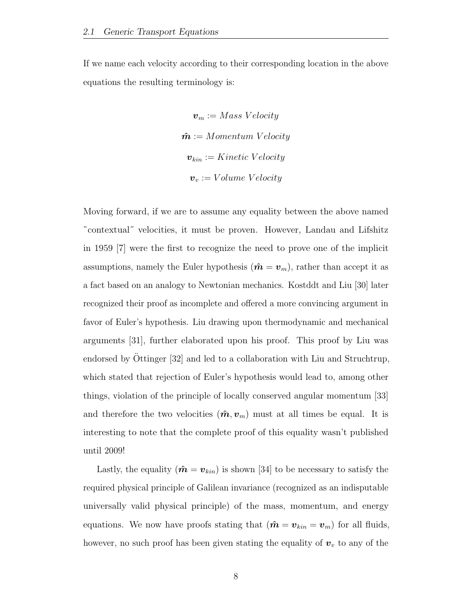If we name each velocity according to their corresponding location in the above equations the resulting terminology is:

$$
\boldsymbol{v}_m := Mass\;Velocity
$$
  

$$
\hat{\boldsymbol{m}} := Momentum\; Velocity
$$
  

$$
\boldsymbol{v}_{kin} := Kinetic\; Velocity
$$
  

$$
\boldsymbol{v}_v := Volume\;Velocity
$$

Moving forward, if we are to assume any equality between the above named contextual˝ velocities, it must be proven. However, Landau and Lifshitz in 1959 [7] were the first to recognize the need to prove one of the implicit assumptions, namely the Euler hypothesis  $(\hat{\mathbf{m}} = \mathbf{v}_m)$ , rather than accept it as a fact based on an analogy to Newtonian mechanics. Kostddt and Liu [30] later recognized their proof as incomplete and offered a more convincing argument in favor of Euler's hypothesis. Liu drawing upon thermodynamic and mechanical arguments [31], further elaborated upon his proof. This proof by Liu was endorsed by Ottinger  $[32]$  and led to a collaboration with Liu and Struchtrup, which stated that rejection of Euler's hypothesis would lead to, among other things, violation of the principle of locally conserved angular momentum [33] and therefore the two velocities  $(\hat{m}, v_m)$  must at all times be equal. It is interesting to note that the complete proof of this equality wasn't published until 2009!

Lastly, the equality  $(\hat{\mathbf{m}} = \mathbf{v}_{kin})$  is shown [34] to be necessary to satisfy the required physical principle of Galilean invariance (recognized as an indisputable universally valid physical principle) of the mass, momentum, and energy equations. We now have proofs stating that  $(\hat{\mathbf{m}} = \mathbf{v}_{kin} = \mathbf{v}_m)$  for all fluids, however, no such proof has been given stating the equality of  $v<sub>v</sub>$  to any of the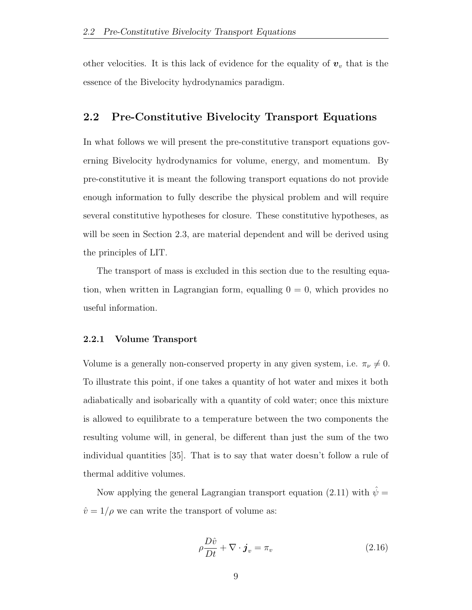other velocities. It is this lack of evidence for the equality of  $v<sub>v</sub>$  that is the essence of the Bivelocity hydrodynamics paradigm.

### 2.2 Pre-Constitutive Bivelocity Transport Equations

In what follows we will present the pre-constitutive transport equations governing Bivelocity hydrodynamics for volume, energy, and momentum. By pre-constitutive it is meant the following transport equations do not provide enough information to fully describe the physical problem and will require several constitutive hypotheses for closure. These constitutive hypotheses, as will be seen in Section 2.3, are material dependent and will be derived using the principles of LIT.

The transport of mass is excluded in this section due to the resulting equation, when written in Lagrangian form, equalling  $0 = 0$ , which provides no useful information.

#### 2.2.1 Volume Transport

Volume is a generally non-conserved property in any given system, i.e.  $\pi_{\nu} \neq 0$ . To illustrate this point, if one takes a quantity of hot water and mixes it both adiabatically and isobarically with a quantity of cold water; once this mixture is allowed to equilibrate to a temperature between the two components the resulting volume will, in general, be different than just the sum of the two individual quantities [35]. That is to say that water doesn't follow a rule of thermal additive volumes.

Now applying the general Lagrangian transport equation (2.11) with  $\hat{\psi}$  =  $\hat{v} = 1/\rho$  we can write the transport of volume as:

$$
\rho \frac{D\hat{v}}{Dt} + \nabla \cdot \boldsymbol{j}_v = \pi_v \tag{2.16}
$$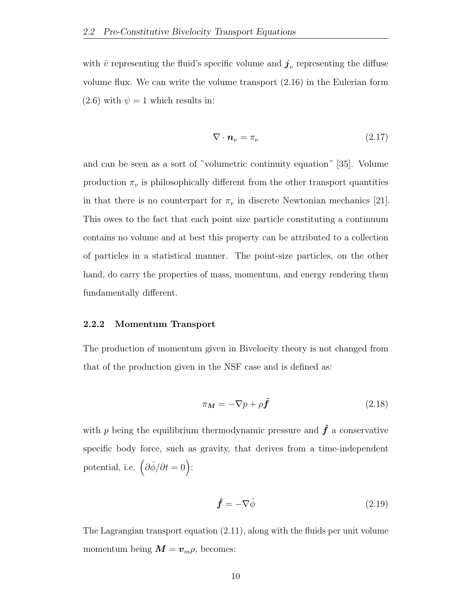with  $\hat{v}$  representing the fluid's specific volume and  $\boldsymbol{j}_v$  representing the diffuse volume flux. We can write the volume transport (2.16) in the Eulerian form  $(2.6)$  with  $\psi = 1$  which results in:

$$
\nabla \cdot \mathbf{n}_{\nu} = \pi_{\nu} \tag{2.17}
$$

and can be seen as a sort of volumetric continuity equation˝ [35]. Volume production  $\pi_v$  is philosophically different from the other transport quantities in that there is no counterpart for  $\pi_v$  in discrete Newtonian mechanics [21]. This owes to the fact that each point size particle constituting a continuum contains no volume and at best this property can be attributed to a collection of particles in a statistical manner. The point-size particles, on the other hand, do carry the properties of mass, momentum, and energy rendering them fundamentally different.

#### 2.2.2 Momentum Transport

The production of momentum given in Bivelocity theory is not changed from that of the production given in the NSF case and is defined as:

$$
\pi_{\mathbf{M}} = -\nabla p + \rho \hat{\mathbf{f}} \tag{2.18}
$$

with p being the equilibrium thermodynamic pressure and  $\hat{f}$  a conservative specific body force, such as gravity, that derives from a time-independent potential, i.e.  $\left(\partial \hat{\phi}/\partial t = 0\right)$ :

$$
\hat{\mathbf{f}} = -\nabla \hat{\phi} \tag{2.19}
$$

The Lagrangian transport equation (2.11), along with the fluids per unit volume momentum being  $\mathbf{M} = \mathbf{v}_{m} \rho$ , becomes: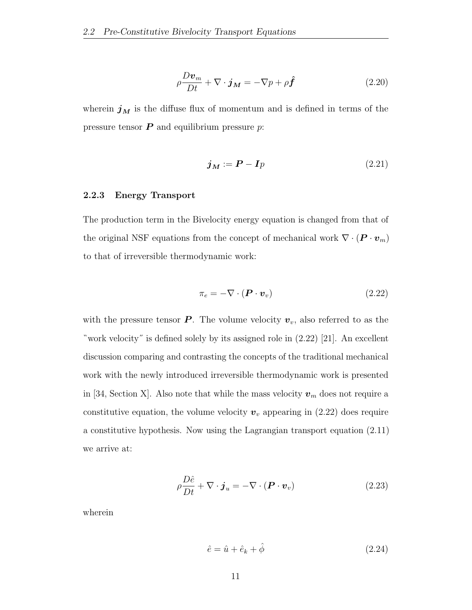$$
\rho \frac{D \mathbf{v}_m}{Dt} + \nabla \cdot \mathbf{j}_M = -\nabla p + \rho \hat{\mathbf{f}} \tag{2.20}
$$

wherein  $j_M$  is the diffuse flux of momentum and is defined in terms of the pressure tensor  $P$  and equilibrium pressure  $p$ :

$$
\boldsymbol{j}_M := \boldsymbol{P} - \boldsymbol{I}p \tag{2.21}
$$

#### 2.2.3 Energy Transport

The production term in the Bivelocity energy equation is changed from that of the original NSF equations from the concept of mechanical work  $\nabla \cdot (\boldsymbol{P} \cdot \boldsymbol{v}_m)$ to that of irreversible thermodynamic work:

$$
\pi_e = -\nabla \cdot (\boldsymbol{P} \cdot \boldsymbol{v}_v) \tag{2.22}
$$

with the pressure tensor  $P$ . The volume velocity  $v_v$ , also referred to as the work velocity˝ is defined solely by its assigned role in (2.22) [21]. An excellent discussion comparing and contrasting the concepts of the traditional mechanical work with the newly introduced irreversible thermodynamic work is presented in [34, Section X]. Also note that while the mass velocity  $v_m$  does not require a constitutive equation, the volume velocity  $v_v$  appearing in (2.22) does require a constitutive hypothesis. Now using the Lagrangian transport equation (2.11) we arrive at:

$$
\rho \frac{D\hat{e}}{Dt} + \nabla \cdot \boldsymbol{j}_u = -\nabla \cdot (\boldsymbol{P} \cdot \boldsymbol{v}_v)
$$
\n(2.23)

wherein

$$
\hat{e} = \hat{u} + \hat{e}_k + \hat{\phi} \tag{2.24}
$$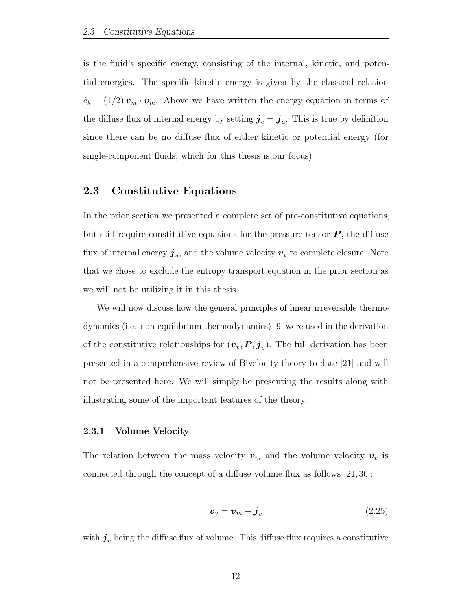is the fluid's specific energy, consisting of the internal, kinetic, and potential energies. The specific kinetic energy is given by the classical relation  $\hat{e}_k = (1/2) \, \boldsymbol{v}_m \cdot \boldsymbol{v}_m$ . Above we have written the energy equation in terms of the diffuse flux of internal energy by setting  $\boldsymbol{j}_e = \boldsymbol{j}_u$ . This is true by definition since there can be no diffuse flux of either kinetic or potential energy (for single-component fluids, which for this thesis is our focus)

### 2.3 Constitutive Equations

In the prior section we presented a complete set of pre-constitutive equations, but still require constitutive equations for the pressure tensor  $P$ , the diffuse flux of internal energy  $\boldsymbol{j}_u$ , and the volume velocity  $\boldsymbol{v}_v$  to complete closure. Note that we chose to exclude the entropy transport equation in the prior section as we will not be utilizing it in this thesis.

We will now discuss how the general principles of linear irreversible thermodynamics (i.e. non-equilibrium thermodynamics) [9] were used in the derivation of the constitutive relationships for  $(\boldsymbol{v}_v, \boldsymbol{P}, \boldsymbol{j}_u)$ . The full derivation has been presented in a comprehensive review of Bivelocity theory to date [21] and will not be presented here. We will simply be presenting the results along with illustrating some of the important features of the theory.

#### 2.3.1 Volume Velocity

The relation between the mass velocity  $v_m$  and the volume velocity  $v_v$  is connected through the concept of a diffuse volume flux as follows [21, 36]:

$$
\boldsymbol{v}_v = \boldsymbol{v}_m + \boldsymbol{j}_v \tag{2.25}
$$

with  $j_v$  being the diffuse flux of volume. This diffuse flux requires a constitutive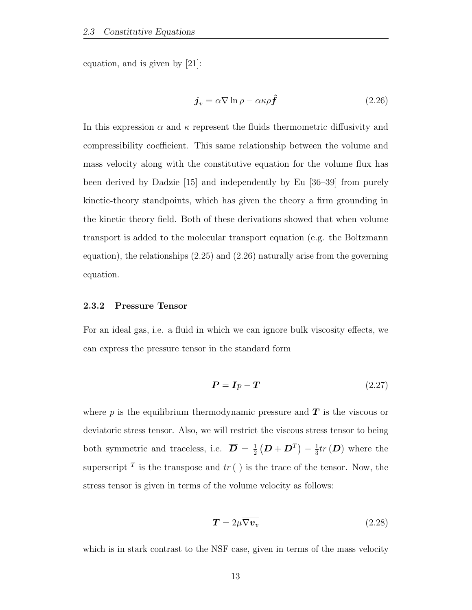equation, and is given by [21]:

$$
\boldsymbol{j}_v = \alpha \nabla \ln \rho - \alpha \kappa \rho \boldsymbol{\hat{f}} \tag{2.26}
$$

In this expression  $\alpha$  and  $\kappa$  represent the fluids thermometric diffusivity and compressibility coefficient. This same relationship between the volume and mass velocity along with the constitutive equation for the volume flux has been derived by Dadzie [15] and independently by Eu [36–39] from purely kinetic-theory standpoints, which has given the theory a firm grounding in the kinetic theory field. Both of these derivations showed that when volume transport is added to the molecular transport equation (e.g. the Boltzmann equation), the relationships (2.25) and (2.26) naturally arise from the governing equation.

#### 2.3.2 Pressure Tensor

For an ideal gas, i.e. a fluid in which we can ignore bulk viscosity effects, we can express the pressure tensor in the standard form

$$
P = Ip - T \tag{2.27}
$$

where p is the equilibrium thermodynamic pressure and  $T$  is the viscous or deviatoric stress tensor. Also, we will restrict the viscous stress tensor to being both symmetric and traceless, i.e.  $\overline{D} = \frac{1}{2}$  $\frac{1}{2}\left(\boldsymbol{D}+\boldsymbol{D}^T\right)-\frac{1}{3}$  $\frac{1}{3}tr(D)$  where the superscript <sup>T</sup> is the transpose and  $tr()$  is the trace of the tensor. Now, the stress tensor is given in terms of the volume velocity as follows:

$$
T = 2\mu \overline{\nabla v_v} \tag{2.28}
$$

which is in stark contrast to the NSF case, given in terms of the mass velocity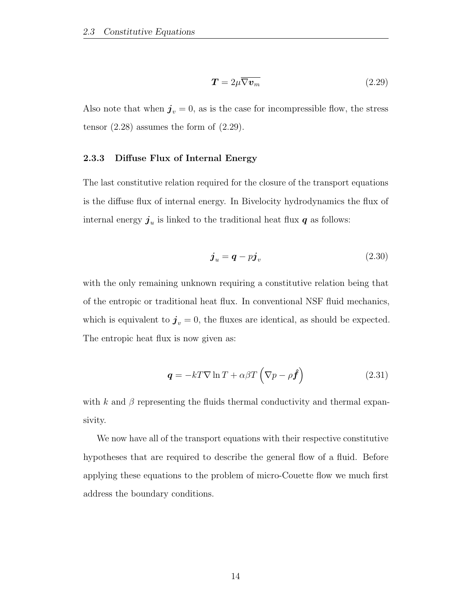$$
T = 2\mu \overline{\nabla v_m} \tag{2.29}
$$

Also note that when  $j_v = 0$ , as is the case for incompressible flow, the stress tensor  $(2.28)$  assumes the form of  $(2.29)$ .

#### 2.3.3 Diffuse Flux of Internal Energy

The last constitutive relation required for the closure of the transport equations is the diffuse flux of internal energy. In Bivelocity hydrodynamics the flux of internal energy  $j_u$  is linked to the traditional heat flux  $q$  as follows:

$$
\boldsymbol{j}_u = \boldsymbol{q} - p\boldsymbol{j}_v \tag{2.30}
$$

with the only remaining unknown requiring a constitutive relation being that of the entropic or traditional heat flux. In conventional NSF fluid mechanics, which is equivalent to  $j_v = 0$ , the fluxes are identical, as should be expected. The entropic heat flux is now given as:

$$
\mathbf{q} = -kT\nabla \ln T + \alpha \beta T \left( \nabla p - \rho \hat{\mathbf{f}} \right)
$$
 (2.31)

with k and  $\beta$  representing the fluids thermal conductivity and thermal expansivity.

We now have all of the transport equations with their respective constitutive hypotheses that are required to describe the general flow of a fluid. Before applying these equations to the problem of micro-Couette flow we much first address the boundary conditions.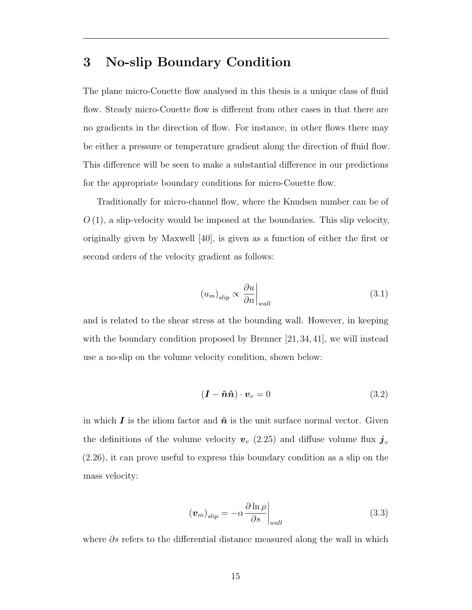## 3 No-slip Boundary Condition

The plane micro-Couette flow analysed in this thesis is a unique class of fluid flow. Steady micro-Couette flow is different from other cases in that there are no gradients in the direction of flow. For instance, in other flows there may be either a pressure or temperature gradient along the direction of fluid flow. This difference will be seen to make a substantial difference in our predictions for the appropriate boundary conditions for micro-Couette flow.

Traditionally for micro-channel flow, where the Knudsen number can be of  $O(1)$ , a slip-velocity would be imposed at the boundaries. This slip velocity, originally given by Maxwell [40], is given as a function of either the first or second orders of the velocity gradient as follows:

$$
(u_m)_{slip} \propto \left. \frac{\partial u}{\partial n} \right|_{wall} \tag{3.1}
$$

and is related to the shear stress at the bounding wall. However, in keeping with the boundary condition proposed by Brenner [21, 34, 41], we will instead use a no-slip on the volume velocity condition, shown below:

$$
(\mathbf{I} - \hat{\mathbf{n}}\hat{\mathbf{n}}) \cdot \mathbf{v}_v = 0 \tag{3.2}
$$

in which I is the idiom factor and  $\hat{\boldsymbol{n}}$  is the unit surface normal vector. Given the definitions of the volume velocity  $v_v$  (2.25) and diffuse volume flux  $j_v$ (2.26), it can prove useful to express this boundary condition as a slip on the mass velocity:

$$
\left(\boldsymbol{v}_{m}\right)_{slip} = -\alpha \frac{\partial \ln \rho}{\partial s}\bigg|_{wall} \tag{3.3}
$$

where  $\partial s$  refers to the differential distance measured along the wall in which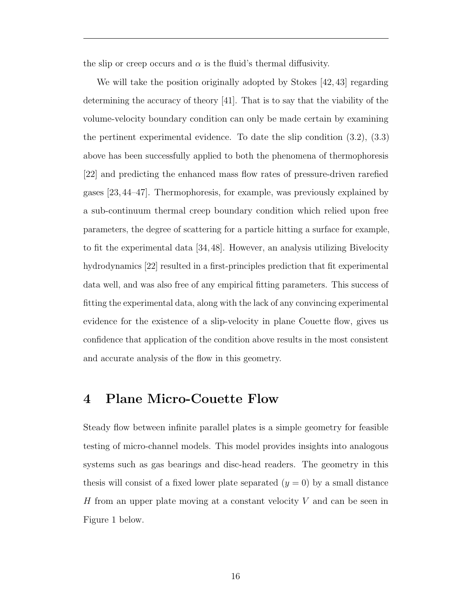the slip or creep occurs and  $\alpha$  is the fluid's thermal diffusivity.

We will take the position originally adopted by Stokes [42, 43] regarding determining the accuracy of theory [41]. That is to say that the viability of the volume-velocity boundary condition can only be made certain by examining the pertinent experimental evidence. To date the slip condition (3.2), (3.3) above has been successfully applied to both the phenomena of thermophoresis [22] and predicting the enhanced mass flow rates of pressure-driven rarefied gases [23, 44–47]. Thermophoresis, for example, was previously explained by a sub-continuum thermal creep boundary condition which relied upon free parameters, the degree of scattering for a particle hitting a surface for example, to fit the experimental data [34, 48]. However, an analysis utilizing Bivelocity hydrodynamics [22] resulted in a first-principles prediction that fit experimental data well, and was also free of any empirical fitting parameters. This success of fitting the experimental data, along with the lack of any convincing experimental evidence for the existence of a slip-velocity in plane Couette flow, gives us confidence that application of the condition above results in the most consistent and accurate analysis of the flow in this geometry.

### 4 Plane Micro-Couette Flow

Steady flow between infinite parallel plates is a simple geometry for feasible testing of micro-channel models. This model provides insights into analogous systems such as gas bearings and disc-head readers. The geometry in this thesis will consist of a fixed lower plate separated  $(y = 0)$  by a small distance H from an upper plate moving at a constant velocity  $V$  and can be seen in Figure 1 below.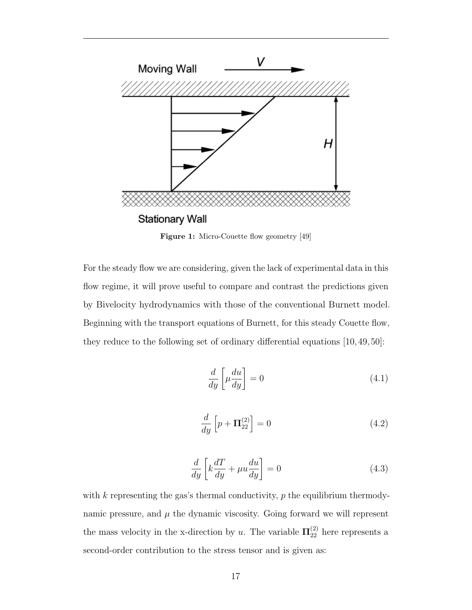

Figure 1: Micro-Couette flow geometry [49]

For the steady flow we are considering, given the lack of experimental data in this flow regime, it will prove useful to compare and contrast the predictions given by Bivelocity hydrodynamics with those of the conventional Burnett model. Beginning with the transport equations of Burnett, for this steady Couette flow, they reduce to the following set of ordinary differential equations [10, 49, 50]:

$$
\frac{d}{dy}\left[\mu \frac{du}{dy}\right] = 0\tag{4.1}
$$

$$
\frac{d}{dy}\left[p + \mathbf{\Pi}_{22}^{(2)}\right] = 0\tag{4.2}
$$

$$
\frac{d}{dy}\left[k\frac{dT}{dy} + \mu u \frac{du}{dy}\right] = 0\tag{4.3}
$$

with  $k$  representing the gas's thermal conductivity,  $p$  the equilibrium thermodynamic pressure, and  $\mu$  the dynamic viscosity. Going forward we will represent the mass velocity in the x-direction by u. The variable  $\Pi_{22}^{(2)}$  here represents a second-order contribution to the stress tensor and is given as: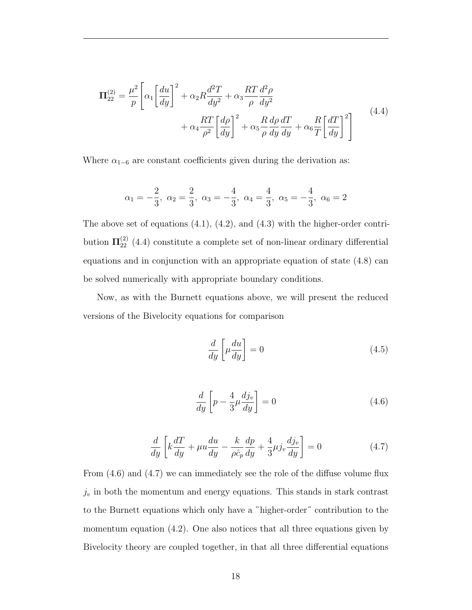$$
\Pi_{22}^{(2)} = \frac{\mu^2}{p} \left[ \alpha_1 \left[ \frac{du}{dy} \right]^2 + \alpha_2 R \frac{d^2 T}{dy^2} + \alpha_3 \frac{RT}{\rho} \frac{d^2 \rho}{dy^2} + \alpha_4 \frac{RT}{\rho^2} \left[ \frac{d\rho}{dy} \right]^2 + \alpha_5 \frac{R}{\rho} \frac{d\rho}{dy} \frac{dT}{dy} + \alpha_6 \frac{R}{T} \left[ \frac{dT}{dy} \right]^2 \right]
$$
\n(4.4)

Where  $\alpha_{1-6}$  are constant coefficients given during the derivation as:

$$
\alpha_1=-\frac{2}{3},\ \alpha_2=\frac{2}{3},\ \alpha_3=-\frac{4}{3},\ \alpha_4=\frac{4}{3},\ \alpha_5=-\frac{4}{3},\ \alpha_6=2
$$

The above set of equations  $(4.1)$ ,  $(4.2)$ , and  $(4.3)$  with the higher-order contribution  $\Pi_{22}^{(2)}$  (4.4) constitute a complete set of non-linear ordinary differential equations and in conjunction with an appropriate equation of state (4.8) can be solved numerically with appropriate boundary conditions.

Now, as with the Burnett equations above, we will present the reduced versions of the Bivelocity equations for comparison

$$
\frac{d}{dy}\left[\mu \frac{du}{dy}\right] = 0\tag{4.5}
$$

$$
\frac{d}{dy}\left[p - \frac{4}{3}\mu \frac{dj_v}{dy}\right] = 0\tag{4.6}
$$

$$
\frac{d}{dy}\left[k\frac{dT}{dy} + \mu u\frac{du}{dy} - \frac{k}{\rho\hat{c}_p}\frac{dp}{dy} + \frac{4}{3}\mu j_v \frac{dj_v}{dy}\right] = 0\tag{4.7}
$$

From (4.6) and (4.7) we can immediately see the role of the diffuse volume flux  $j_v$  in both the momentum and energy equations. This stands in stark contrast to the Burnett equations which only have a "higher-order" contribution to the momentum equation  $(4.2)$ . One also notices that all three equations given by Bivelocity theory are coupled together, in that all three differential equations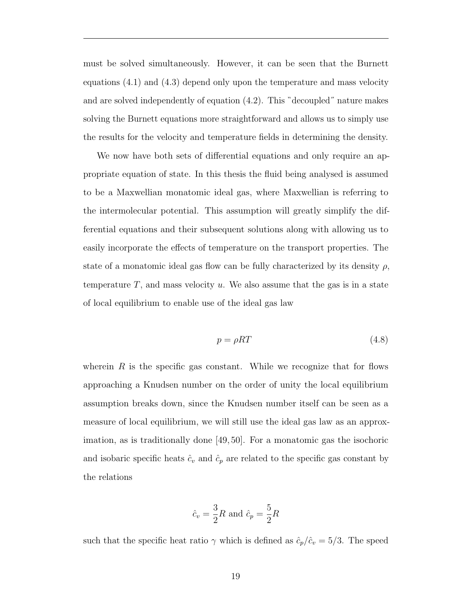must be solved simultaneously. However, it can be seen that the Burnett equations (4.1) and (4.3) depend only upon the temperature and mass velocity and are solved independently of equation  $(4.2)$ . This "decoupled" nature makes solving the Burnett equations more straightforward and allows us to simply use the results for the velocity and temperature fields in determining the density.

We now have both sets of differential equations and only require an appropriate equation of state. In this thesis the fluid being analysed is assumed to be a Maxwellian monatomic ideal gas, where Maxwellian is referring to the intermolecular potential. This assumption will greatly simplify the differential equations and their subsequent solutions along with allowing us to easily incorporate the effects of temperature on the transport properties. The state of a monatomic ideal gas flow can be fully characterized by its density  $\rho$ , temperature  $T$ , and mass velocity  $u$ . We also assume that the gas is in a state of local equilibrium to enable use of the ideal gas law

$$
p = \rho RT \tag{4.8}
$$

wherein  $R$  is the specific gas constant. While we recognize that for flows approaching a Knudsen number on the order of unity the local equilibrium assumption breaks down, since the Knudsen number itself can be seen as a measure of local equilibrium, we will still use the ideal gas law as an approximation, as is traditionally done [49, 50]. For a monatomic gas the isochoric and isobaric specific heats  $\hat{c}_v$  and  $\hat{c}_p$  are related to the specific gas constant by the relations

$$
\hat{c}_v = \frac{3}{2}R \text{ and } \hat{c}_p = \frac{5}{2}R
$$

such that the specific heat ratio  $\gamma$  which is defined as  $\hat{c}_p/\hat{c}_v = 5/3$ . The speed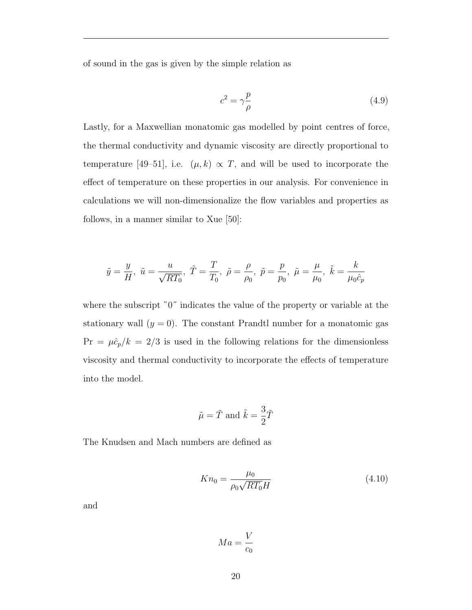of sound in the gas is given by the simple relation as

$$
c^2 = \gamma \frac{p}{\rho} \tag{4.9}
$$

Lastly, for a Maxwellian monatomic gas modelled by point centres of force, the thermal conductivity and dynamic viscosity are directly proportional to temperature [49–51], i.e.  $(\mu, k) \propto T$ , and will be used to incorporate the effect of temperature on these properties in our analysis. For convenience in calculations we will non-dimensionalize the flow variables and properties as follows, in a manner similar to Xue [50]:

$$
\tilde{y} = \frac{y}{H}, \ \tilde{u} = \frac{u}{\sqrt{RT_0}}, \ \tilde{T} = \frac{T}{T_0}, \ \tilde{\rho} = \frac{\rho}{\rho_0}, \ \tilde{p} = \frac{p}{p_0}, \ \tilde{\mu} = \frac{\mu}{\mu_0}, \ \tilde{k} = \frac{k}{\mu_0 \hat{c}_p}
$$

where the subscript  $"0"$  indicates the value of the property or variable at the stationary wall  $(y = 0)$ . The constant Prandtl number for a monatomic gas  $Pr = \mu \hat{c}_p / k = 2/3$  is used in the following relations for the dimensionless viscosity and thermal conductivity to incorporate the effects of temperature into the model.

$$
\tilde{\mu} = \tilde{T}
$$
 and  $\tilde{k} = \frac{3}{2}\tilde{T}$ 

The Knudsen and Mach numbers are defined as

$$
Kn_0 = \frac{\mu_0}{\rho_0 \sqrt{RT_0}H}
$$
\n(4.10)

and

$$
Ma = \frac{V}{c_0}
$$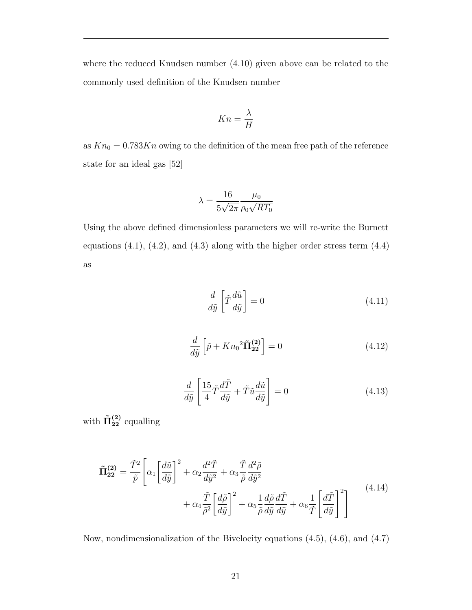where the reduced Knudsen number (4.10) given above can be related to the commonly used definition of the Knudsen number

$$
Kn = \frac{\lambda}{H}
$$

as  $Kn_0 = 0.783Kn$  owing to the definition of the mean free path of the reference state for an ideal gas [52]

$$
\lambda = \frac{16}{5\sqrt{2\pi}} \frac{\mu_0}{\rho_0 \sqrt{RT_0}}
$$

Using the above defined dimensionless parameters we will re-write the Burnett equations  $(4.1)$ ,  $(4.2)$ , and  $(4.3)$  along with the higher order stress term  $(4.4)$ as

$$
\frac{d}{d\tilde{y}} \left[ \tilde{T} \frac{d\tilde{u}}{d\tilde{y}} \right] = 0 \tag{4.11}
$$

$$
\frac{d}{d\tilde{y}}\left[\tilde{p} + Kn_0^2 \tilde{\mathbf{\Pi}}_{22}^{(2)}\right] = 0\tag{4.12}
$$

$$
\frac{d}{d\tilde{y}} \left[ \frac{15}{4} \tilde{T} \frac{d\tilde{T}}{d\tilde{y}} + \tilde{T} \tilde{u} \frac{d\tilde{u}}{d\tilde{y}} \right] = 0 \tag{4.13}
$$

with  $\tilde{\Pi}_{22}^{(2)}$  equalling

$$
\tilde{\mathbf{\Pi}}_{22}^{(2)} = \frac{\tilde{T}^2}{\tilde{p}} \left[ \alpha_1 \left[ \frac{d\tilde{u}}{d\tilde{y}} \right]^2 + \alpha_2 \frac{d^2 \tilde{T}}{d\tilde{y}^2} + \alpha_3 \frac{\tilde{T}}{\tilde{\rho}} \frac{d^2 \tilde{\rho}}{d\tilde{y}^2} + \alpha_4 \frac{\tilde{T}}{\tilde{\rho}} \frac{d\tilde{\rho}}{d\tilde{y}} \frac{d\tilde{p}}{d\tilde{y}} \frac{d\tilde{T}}{d\tilde{y}} + \alpha_5 \frac{1}{\tilde{\rho}} \frac{d\tilde{\rho}}{d\tilde{y}} \frac{d\tilde{T}}{d\tilde{y}} + \alpha_6 \frac{1}{\tilde{T}} \left[ \frac{d\tilde{T}}{d\tilde{y}} \right]^2 \right]
$$
\n(4.14)

Now, nondimensionalization of the Bivelocity equations (4.5), (4.6), and (4.7)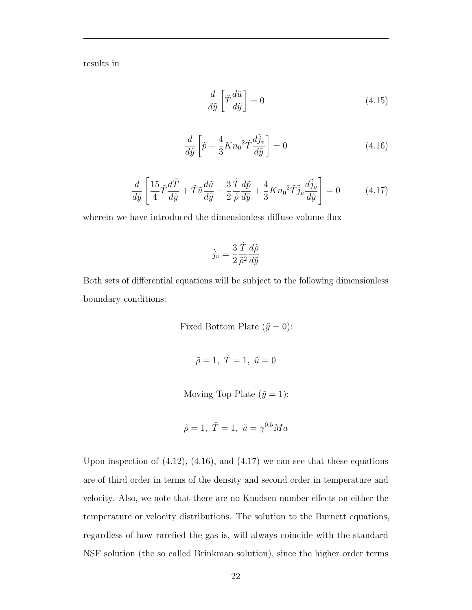results in

$$
\frac{d}{d\tilde{y}}\left[\tilde{T}\frac{d\tilde{u}}{d\tilde{y}}\right] = 0\tag{4.15}
$$

$$
\frac{d}{d\tilde{y}}\left[\tilde{p} - \frac{4}{3}Kn_0^2\tilde{T}\frac{d\tilde{j}_v}{d\tilde{y}}\right] = 0\tag{4.16}
$$

$$
\frac{d}{d\tilde{y}} \left[ \frac{15}{4} \tilde{T} \frac{d\tilde{T}}{d\tilde{y}} + \tilde{T} \tilde{u} \frac{d\tilde{u}}{d\tilde{y}} - \frac{3}{2} \frac{\tilde{T}}{\tilde{\rho}} \frac{d\tilde{p}}{d\tilde{y}} + \frac{4}{3} K n_0^2 \tilde{T} \tilde{j}_v \frac{d\tilde{j}_v}{d\tilde{y}} \right] = 0 \tag{4.17}
$$

wherein we have introduced the dimensionless diffuse volume flux

$$
\tilde{j}_v = \frac{3}{2} \frac{\tilde{T}}{\tilde{\rho}^2} \frac{d\tilde{\rho}}{d\tilde{y}}
$$

Both sets of differential equations will be subject to the following dimensionless boundary conditions:

Fixed Bottom Plate  $(\tilde{y} = 0)$ :

 $\tilde{\rho}=1, \ \tilde{T}=1, \ \tilde{u}=0$ 

Moving Top Plate  $(\tilde{y} = 1)$ :

$$
\tilde{\rho} = 1, \ \tilde{T} = 1, \ \tilde{u} = \gamma^{0.5} Ma
$$

Upon inspection of  $(4.12)$ ,  $(4.16)$ , and  $(4.17)$  we can see that these equations are of third order in terms of the density and second order in temperature and velocity. Also, we note that there are no Knudsen number effects on either the temperature or velocity distributions. The solution to the Burnett equations, regardless of how rarefied the gas is, will always coincide with the standard NSF solution (the so called Brinkman solution), since the higher order terms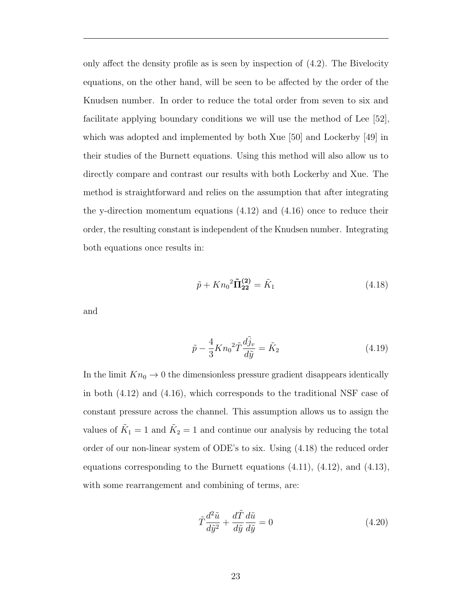only affect the density profile as is seen by inspection of (4.2). The Bivelocity equations, on the other hand, will be seen to be affected by the order of the Knudsen number. In order to reduce the total order from seven to six and facilitate applying boundary conditions we will use the method of Lee [52], which was adopted and implemented by both Xue [50] and Lockerby [49] in their studies of the Burnett equations. Using this method will also allow us to directly compare and contrast our results with both Lockerby and Xue. The method is straightforward and relies on the assumption that after integrating the y-direction momentum equations (4.12) and (4.16) once to reduce their order, the resulting constant is independent of the Knudsen number. Integrating both equations once results in:

$$
\tilde{p} + Kn_0^2 \tilde{\Pi}_{22}^{(2)} = \tilde{K}_1 \tag{4.18}
$$

and

$$
\tilde{p} - \frac{4}{3} K n_0^2 \tilde{T} \frac{d\tilde{j}_v}{d\tilde{y}} = \tilde{K}_2
$$
\n(4.19)

In the limit  $Kn_0 \to 0$  the dimensionless pressure gradient disappears identically in both (4.12) and (4.16), which corresponds to the traditional NSF case of constant pressure across the channel. This assumption allows us to assign the values of  $\tilde{K}_1 = 1$  and  $\tilde{K}_2 = 1$  and continue our analysis by reducing the total order of our non-linear system of ODE's to six. Using (4.18) the reduced order equations corresponding to the Burnett equations  $(4.11)$ ,  $(4.12)$ , and  $(4.13)$ , with some rearrangement and combining of terms, are:

$$
\tilde{T}\frac{d^2\tilde{u}}{d\tilde{y}^2} + \frac{d\tilde{T}}{d\tilde{y}}\frac{d\tilde{u}}{d\tilde{y}} = 0
$$
\n(4.20)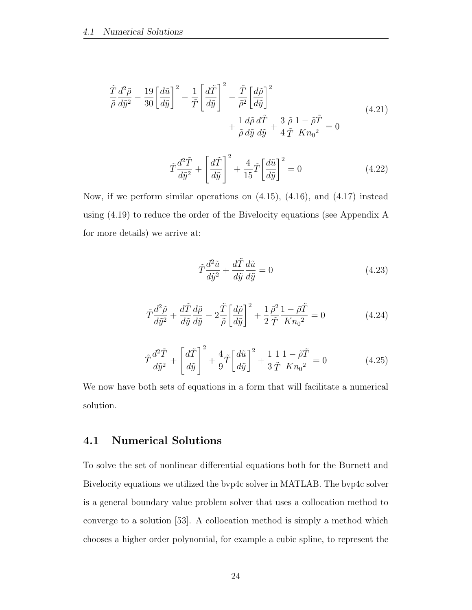$$
\frac{\tilde{T}}{\tilde{\rho}} \frac{d^2 \tilde{\rho}}{d\tilde{y}^2} - \frac{19}{30} \left[ \frac{d\tilde{u}}{d\tilde{y}} \right]^2 - \frac{1}{\tilde{T}} \left[ \frac{d\tilde{T}}{d\tilde{y}} \right]^2 - \frac{\tilde{T}}{\tilde{\rho}^2} \left[ \frac{d\tilde{\rho}}{d\tilde{y}} \right]^2 \n+ \frac{1}{\tilde{\rho}} \frac{d\tilde{\rho}}{d\tilde{y}} \frac{d\tilde{T}}{d\tilde{y}} + \frac{3}{4} \frac{\tilde{\rho}}{\tilde{T}} \frac{1 - \tilde{\rho}\tilde{T}}{K n_0^2} = 0
$$
\n(4.21)

$$
\tilde{T}\frac{d^2\tilde{T}}{d\tilde{y}^2} + \left[\frac{d\tilde{T}}{d\tilde{y}}\right]^2 + \frac{4}{15}\tilde{T}\left[\frac{d\tilde{u}}{d\tilde{y}}\right]^2 = 0
$$
\n(4.22)

Now, if we perform similar operations on  $(4.15)$ ,  $(4.16)$ , and  $(4.17)$  instead using (4.19) to reduce the order of the Bivelocity equations (see Appendix A for more details) we arrive at:

$$
\tilde{T}\frac{d^2\tilde{u}}{d\tilde{y}^2} + \frac{d\tilde{T}}{d\tilde{y}}\frac{d\tilde{u}}{d\tilde{y}} = 0
$$
\n(4.23)

$$
\tilde{T}\frac{d^2\tilde{\rho}}{d\tilde{y}^2} + \frac{d\tilde{T}}{d\tilde{y}}\frac{d\tilde{\rho}}{d\tilde{y}} - 2\frac{\tilde{T}}{\tilde{\rho}}\left[\frac{d\tilde{\rho}}{d\tilde{y}}\right]^2 + \frac{1}{2}\frac{\tilde{\rho}^2}{\tilde{T}}\frac{1 - \tilde{\rho}\tilde{T}}{Kn_0^2} = 0
$$
\n(4.24)

$$
\tilde{T}\frac{d^2\tilde{T}}{d\tilde{y}^2} + \left[\frac{d\tilde{T}}{d\tilde{y}}\right]^2 + \frac{4}{9}\tilde{T}\left[\frac{d\tilde{u}}{d\tilde{y}}\right]^2 + \frac{1}{3}\frac{1}{\tilde{T}}\frac{1-\tilde{\rho}\tilde{T}}{Kn_0^2} = 0\tag{4.25}
$$

We now have both sets of equations in a form that will facilitate a numerical solution.

### 4.1 Numerical Solutions

To solve the set of nonlinear differential equations both for the Burnett and Bivelocity equations we utilized the bvp4c solver in MATLAB. The bvp4c solver is a general boundary value problem solver that uses a collocation method to converge to a solution [53]. A collocation method is simply a method which chooses a higher order polynomial, for example a cubic spline, to represent the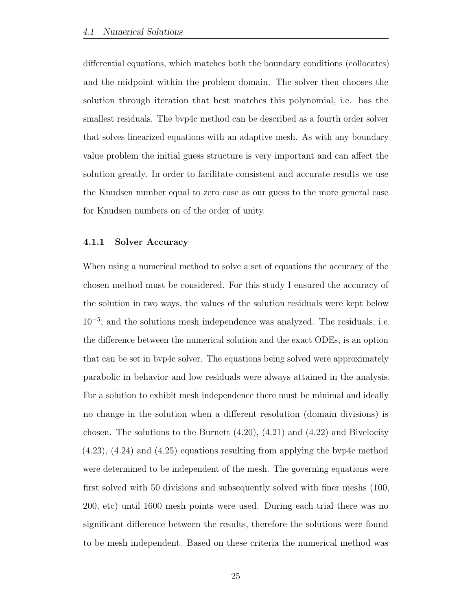differential equations, which matches both the boundary conditions (collocates) and the midpoint within the problem domain. The solver then chooses the solution through iteration that best matches this polynomial, i.e. has the smallest residuals. The bvp4c method can be described as a fourth order solver that solves linearized equations with an adaptive mesh. As with any boundary value problem the initial guess structure is very important and can affect the solution greatly. In order to facilitate consistent and accurate results we use the Knudsen number equal to zero case as our guess to the more general case for Knudsen numbers on of the order of unity.

#### 4.1.1 Solver Accuracy

When using a numerical method to solve a set of equations the accuracy of the chosen method must be considered. For this study I ensured the accuracy of the solution in two ways, the values of the solution residuals were kept below 10<sup>−</sup><sup>5</sup> ; and the solutions mesh independence was analyzed. The residuals, i.e. the difference between the numerical solution and the exact ODEs, is an option that can be set in bvp4c solver. The equations being solved were approximately parabolic in behavior and low residuals were always attained in the analysis. For a solution to exhibit mesh independence there must be minimal and ideally no change in the solution when a different resolution (domain divisions) is chosen. The solutions to the Burnett  $(4.20)$ ,  $(4.21)$  and  $(4.22)$  and Bivelocity  $(4.23)$ ,  $(4.24)$  and  $(4.25)$  equations resulting from applying the byp4c method were determined to be independent of the mesh. The governing equations were first solved with 50 divisions and subsequently solved with finer meshs (100, 200, etc) until 1600 mesh points were used. During each trial there was no significant difference between the results, therefore the solutions were found to be mesh independent. Based on these criteria the numerical method was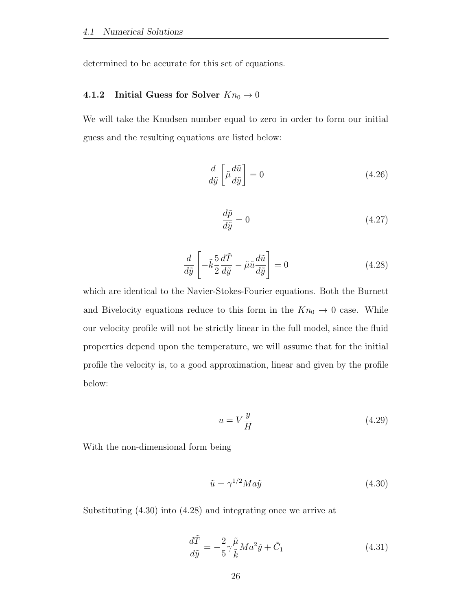determined to be accurate for this set of equations.

### 4.1.2 Initial Guess for Solver  $Kn_0 \to 0$

We will take the Knudsen number equal to zero in order to form our initial guess and the resulting equations are listed below:

$$
\frac{d}{d\tilde{y}}\left[\tilde{\mu}\frac{d\tilde{u}}{d\tilde{y}}\right] = 0\tag{4.26}
$$

$$
\frac{d\tilde{p}}{d\tilde{y}} = 0\tag{4.27}
$$

$$
\frac{d}{d\tilde{y}} \left[ -\tilde{k} \frac{5}{2} \frac{d\tilde{T}}{d\tilde{y}} - \tilde{\mu}\tilde{u} \frac{d\tilde{u}}{d\tilde{y}} \right] = 0 \tag{4.28}
$$

which are identical to the Navier-Stokes-Fourier equations. Both the Burnett and Bivelocity equations reduce to this form in the  $Kn_0 \to 0$  case. While our velocity profile will not be strictly linear in the full model, since the fluid properties depend upon the temperature, we will assume that for the initial profile the velocity is, to a good approximation, linear and given by the profile below:

$$
u = V \frac{y}{H} \tag{4.29}
$$

With the non-dimensional form being

$$
\tilde{u} = \gamma^{1/2} M a \tilde{y} \tag{4.30}
$$

Substituting (4.30) into (4.28) and integrating once we arrive at

$$
\frac{d\tilde{T}}{d\tilde{y}} = -\frac{2}{5}\gamma \frac{\tilde{\mu}}{\tilde{k}} Ma^2 \tilde{y} + \tilde{C}_1
$$
\n(4.31)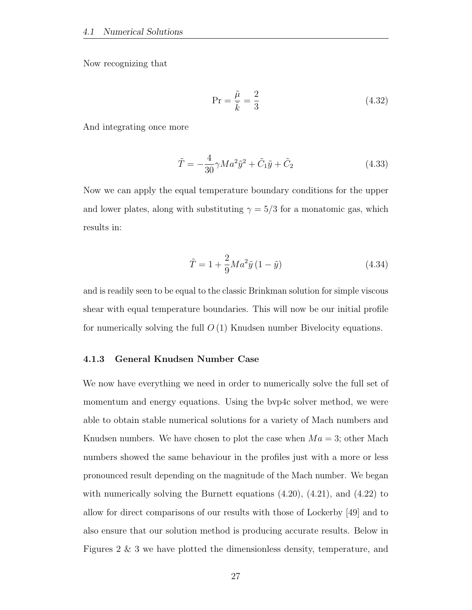Now recognizing that

$$
\Pr = \frac{\tilde{\mu}}{\tilde{k}} = \frac{2}{3} \tag{4.32}
$$

And integrating once more

$$
\tilde{T} = -\frac{4}{30}\gamma Ma^2 \tilde{y}^2 + \tilde{C}_1 \tilde{y} + \tilde{C}_2
$$
\n(4.33)

Now we can apply the equal temperature boundary conditions for the upper and lower plates, along with substituting  $\gamma = 5/3$  for a monatomic gas, which results in:

$$
\tilde{T} = 1 + \frac{2}{9} Ma^2 \tilde{y} (1 - \tilde{y})
$$
\n(4.34)

and is readily seen to be equal to the classic Brinkman solution for simple viscous shear with equal temperature boundaries. This will now be our initial profile for numerically solving the full  $O(1)$  Knudsen number Bivelocity equations.

#### 4.1.3 General Knudsen Number Case

We now have everything we need in order to numerically solve the full set of momentum and energy equations. Using the bvp4c solver method, we were able to obtain stable numerical solutions for a variety of Mach numbers and Knudsen numbers. We have chosen to plot the case when  $Ma = 3$ ; other Mach numbers showed the same behaviour in the profiles just with a more or less pronounced result depending on the magnitude of the Mach number. We began with numerically solving the Burnett equations  $(4.20)$ ,  $(4.21)$ , and  $(4.22)$  to allow for direct comparisons of our results with those of Lockerby [49] and to also ensure that our solution method is producing accurate results. Below in Figures 2 & 3 we have plotted the dimensionless density, temperature, and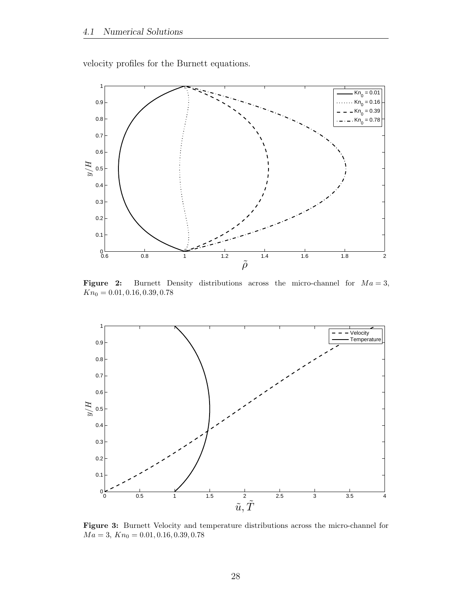velocity profiles for the Burnett equations.



Figure 2: Burnett Density distributions across the micro-channel for  $Ma = 3$ ,  $Kn_0 = 0.01, 0.16, 0.39, 0.78$ 



Figure 3: Burnett Velocity and temperature distributions across the micro-channel for  $Ma=3,\,Kn_0=0.01,0.16,0.39,0.78$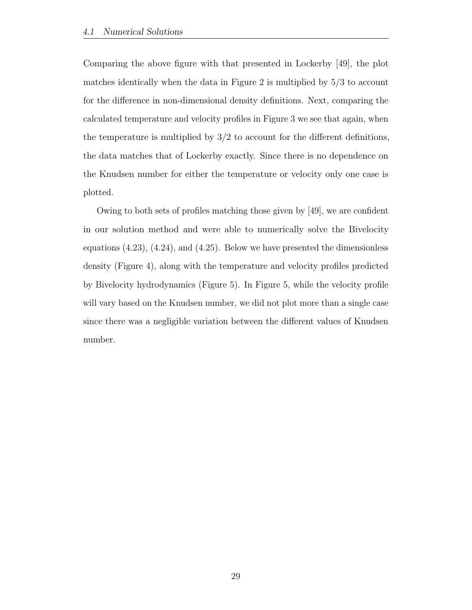Comparing the above figure with that presented in Lockerby [49], the plot matches identically when the data in Figure 2 is multiplied by 5/3 to account for the difference in non-dimensional density definitions. Next, comparing the calculated temperature and velocity profiles in Figure 3 we see that again, when the temperature is multiplied by  $3/2$  to account for the different definitions, the data matches that of Lockerby exactly. Since there is no dependence on the Knudsen number for either the temperature or velocity only one case is plotted.

Owing to both sets of profiles matching those given by [49], we are confident in our solution method and were able to numerically solve the Bivelocity equations (4.23), (4.24), and (4.25). Below we have presented the dimensionless density (Figure 4), along with the temperature and velocity profiles predicted by Bivelocity hydrodynamics (Figure 5). In Figure 5, while the velocity profile will vary based on the Knudsen number, we did not plot more than a single case since there was a negligible variation between the different values of Knudsen number.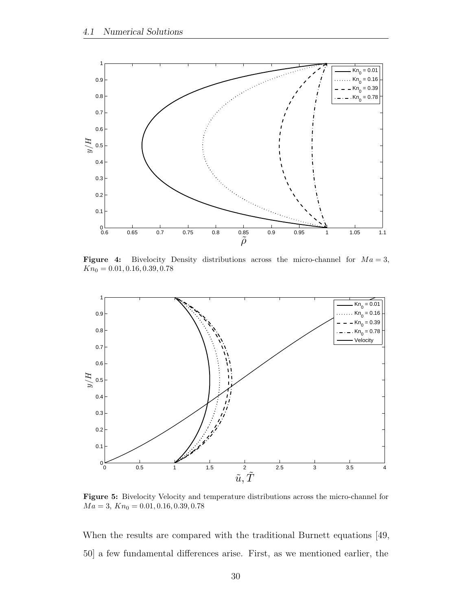

Figure 4: Bivelocity Density distributions across the micro-channel for  $Ma = 3$ ,  $Kn_0 = 0.01, 0.16, 0.39, 0.78$ 



Figure 5: Bivelocity Velocity and temperature distributions across the micro-channel for  $Ma = 3, Kn_0 = 0.01, 0.16, 0.39, 0.78$ 

When the results are compared with the traditional Burnett equations [49, 50] a few fundamental differences arise. First, as we mentioned earlier, the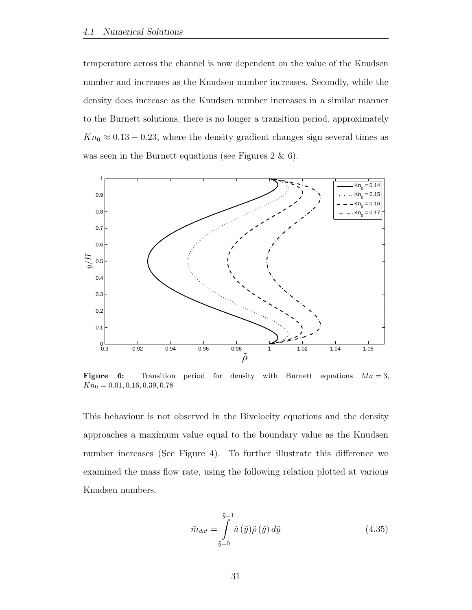temperature across the channel is now dependent on the value of the Knudsen number and increases as the Knudsen number increases. Secondly, while the density does increase as the Knudsen number increases in a similar manner to the Burnett solutions, there is no longer a transition period, approximately  $Kn_0 \approx 0.13 - 0.23$ , where the density gradient changes sign several times as was seen in the Burnett equations (see Figures 2 & 6).



**Figure 6:** Transition period for density with Burnett equations  $Ma = 3$ ,  $Kn_0 = 0.01, 0.16, 0.39, 0.78$ 

This behaviour is not observed in the Bivelocity equations and the density approaches a maximum value equal to the boundary value as the Knudsen number increases (See Figure 4). To further illustrate this difference we examined the mass flow rate, using the following relation plotted at various Knudsen numbers.

$$
\tilde{m}_{dot} = \int_{\tilde{y}=0}^{\tilde{y}=1} \tilde{u} \left( \tilde{y} \right) \tilde{\rho} \left( \tilde{y} \right) d\tilde{y} \tag{4.35}
$$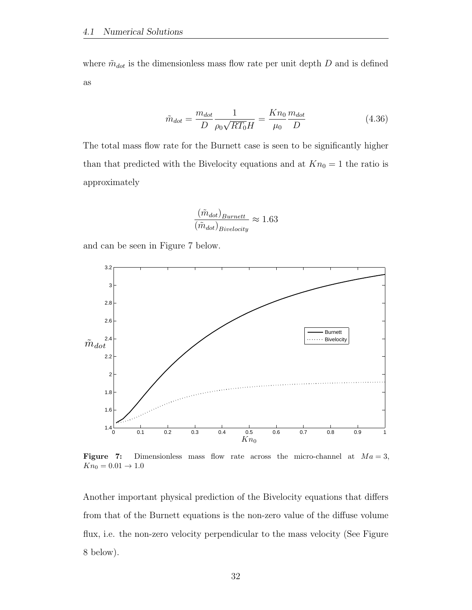where  $\tilde{m}_{dot}$  is the dimensionless mass flow rate per unit depth D and is defined as

$$
\tilde{m}_{dot} = \frac{m_{dot}}{D} \frac{1}{\rho_0 \sqrt{RT_0} H} = \frac{Kn_0}{\mu_0} \frac{m_{dot}}{D}
$$
\n(4.36)

The total mass flow rate for the Burnett case is seen to be significantly higher than that predicted with the Bivelocity equations and at  $Kn_0 = 1$  the ratio is approximately

$$
\frac{(\tilde{m}_{dot})_{Burnett}}{(\tilde{m}_{dot})_{Bivelocity}} \approx 1.63
$$

and can be seen in Figure 7 below.



Figure 7: Dimensionless mass flow rate across the micro-channel at  $Ma = 3$ ,  $Kn_0 = 0.01 \to 1.0$ 

Another important physical prediction of the Bivelocity equations that differs from that of the Burnett equations is the non-zero value of the diffuse volume flux, i.e. the non-zero velocity perpendicular to the mass velocity (See Figure 8 below).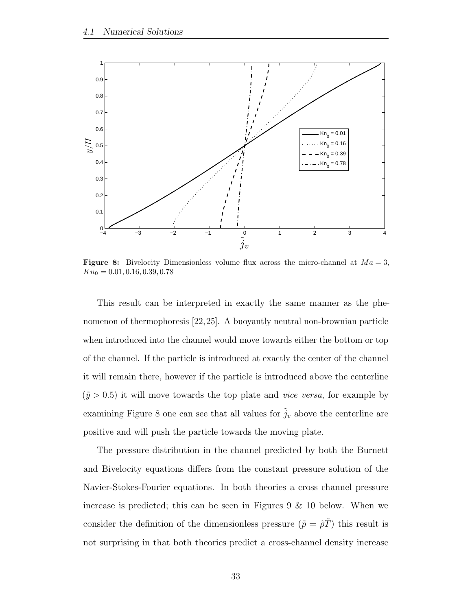

Figure 8: Bivelocity Dimensionless volume flux across the micro-channel at  $Ma = 3$ ,  $Kn_0 = 0.01, 0.16, 0.39, 0.78$ 

This result can be interpreted in exactly the same manner as the phenomenon of thermophoresis [22,25]. A buoyantly neutral non-brownian particle when introduced into the channel would move towards either the bottom or top of the channel. If the particle is introduced at exactly the center of the channel it will remain there, however if the particle is introduced above the centerline  $(\tilde{y} > 0.5)$  it will move towards the top plate and *vice versa*, for example by examining Figure 8 one can see that all values for  $\tilde{j}_v$  above the centerline are positive and will push the particle towards the moving plate.

The pressure distribution in the channel predicted by both the Burnett and Bivelocity equations differs from the constant pressure solution of the Navier-Stokes-Fourier equations. In both theories a cross channel pressure increase is predicted; this can be seen in Figures 9 & 10 below. When we consider the definition of the dimensionless pressure  $(\tilde{p} = \tilde{\rho}\tilde{T})$  this result is not surprising in that both theories predict a cross-channel density increase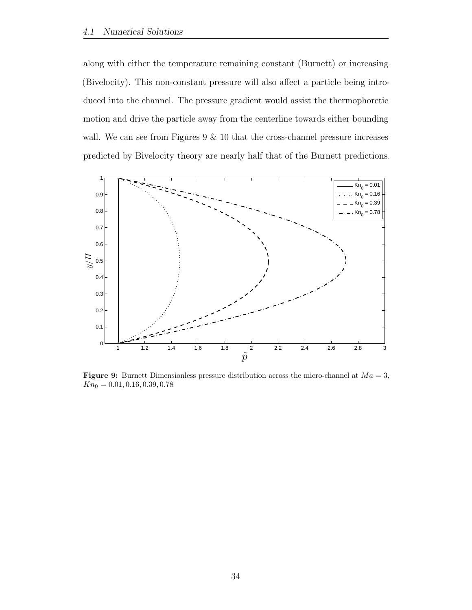along with either the temperature remaining constant (Burnett) or increasing (Bivelocity). This non-constant pressure will also affect a particle being introduced into the channel. The pressure gradient would assist the thermophoretic motion and drive the particle away from the centerline towards either bounding wall. We can see from Figures  $9 \& 10$  that the cross-channel pressure increases predicted by Bivelocity theory are nearly half that of the Burnett predictions.



**Figure 9:** Burnett Dimensionless pressure distribution across the micro-channel at  $Ma = 3$ ,  $Kn_0 = 0.01, 0.16, 0.39, 0.78$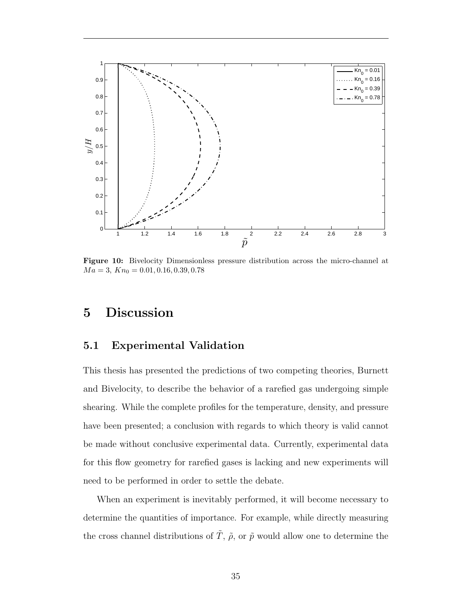

Figure 10: Bivelocity Dimensionless pressure distribution across the micro-channel at  $Ma = 3, Kn_0 = 0.01, 0.16, 0.39, 0.78$ 

## 5 Discussion

### 5.1 Experimental Validation

This thesis has presented the predictions of two competing theories, Burnett and Bivelocity, to describe the behavior of a rarefied gas undergoing simple shearing. While the complete profiles for the temperature, density, and pressure have been presented; a conclusion with regards to which theory is valid cannot be made without conclusive experimental data. Currently, experimental data for this flow geometry for rarefied gases is lacking and new experiments will need to be performed in order to settle the debate.

When an experiment is inevitably performed, it will become necessary to determine the quantities of importance. For example, while directly measuring the cross channel distributions of  $\tilde{T}$ ,  $\tilde{\rho}$ , or  $\tilde{p}$  would allow one to determine the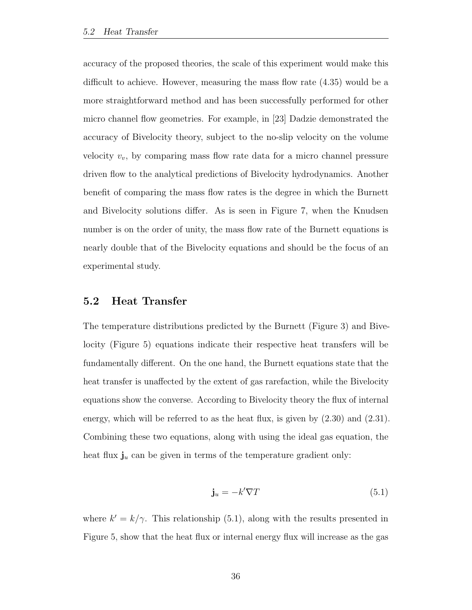accuracy of the proposed theories, the scale of this experiment would make this difficult to achieve. However, measuring the mass flow rate (4.35) would be a more straightforward method and has been successfully performed for other micro channel flow geometries. For example, in [23] Dadzie demonstrated the accuracy of Bivelocity theory, subject to the no-slip velocity on the volume velocity  $v_v$ , by comparing mass flow rate data for a micro channel pressure driven flow to the analytical predictions of Bivelocity hydrodynamics. Another benefit of comparing the mass flow rates is the degree in which the Burnett and Bivelocity solutions differ. As is seen in Figure 7, when the Knudsen number is on the order of unity, the mass flow rate of the Burnett equations is nearly double that of the Bivelocity equations and should be the focus of an experimental study.

### 5.2 Heat Transfer

The temperature distributions predicted by the Burnett (Figure 3) and Bivelocity (Figure 5) equations indicate their respective heat transfers will be fundamentally different. On the one hand, the Burnett equations state that the heat transfer is unaffected by the extent of gas rarefaction, while the Bivelocity equations show the converse. According to Bivelocity theory the flux of internal energy, which will be referred to as the heat flux, is given by (2.30) and (2.31). Combining these two equations, along with using the ideal gas equation, the heat flux  $\mathbf{j}_u$  can be given in terms of the temperature gradient only:

$$
\mathbf{j}_u = -k'\nabla T\tag{5.1}
$$

where  $k' = k/\gamma$ . This relationship (5.1), along with the results presented in Figure 5, show that the heat flux or internal energy flux will increase as the gas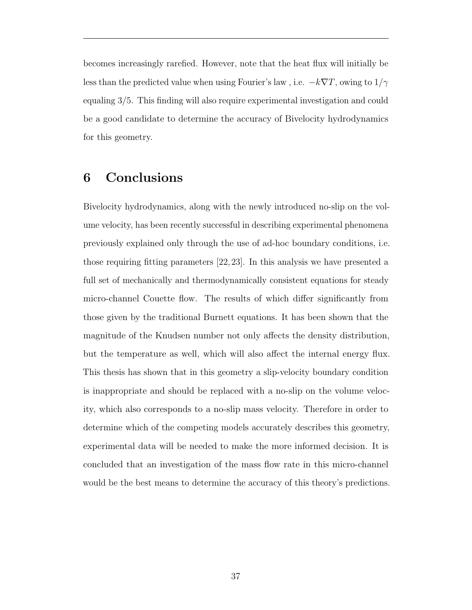becomes increasingly rarefied. However, note that the heat flux will initially be less than the predicted value when using Fourier's law, i.e.  $-k\nabla T$ , owing to  $1/\gamma$ equaling 3/5. This finding will also require experimental investigation and could be a good candidate to determine the accuracy of Bivelocity hydrodynamics for this geometry.

### 6 Conclusions

Bivelocity hydrodynamics, along with the newly introduced no-slip on the volume velocity, has been recently successful in describing experimental phenomena previously explained only through the use of ad-hoc boundary conditions, i.e. those requiring fitting parameters [22, 23]. In this analysis we have presented a full set of mechanically and thermodynamically consistent equations for steady micro-channel Couette flow. The results of which differ significantly from those given by the traditional Burnett equations. It has been shown that the magnitude of the Knudsen number not only affects the density distribution, but the temperature as well, which will also affect the internal energy flux. This thesis has shown that in this geometry a slip-velocity boundary condition is inappropriate and should be replaced with a no-slip on the volume velocity, which also corresponds to a no-slip mass velocity. Therefore in order to determine which of the competing models accurately describes this geometry, experimental data will be needed to make the more informed decision. It is concluded that an investigation of the mass flow rate in this micro-channel would be the best means to determine the accuracy of this theory's predictions.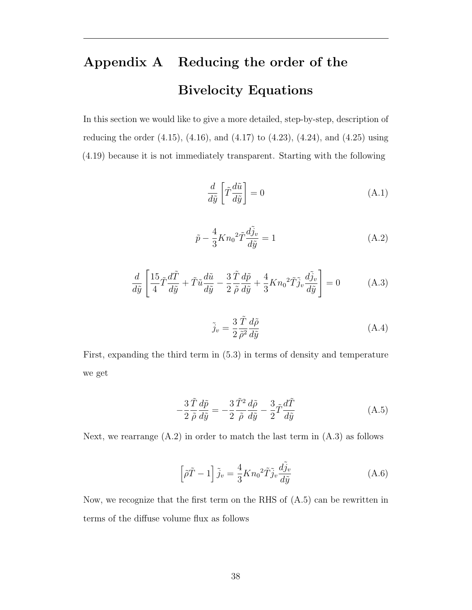# Appendix A Reducing the order of the Bivelocity Equations

In this section we would like to give a more detailed, step-by-step, description of reducing the order (4.15), (4.16), and (4.17) to (4.23), (4.24), and (4.25) using (4.19) because it is not immediately transparent. Starting with the following

$$
\frac{d}{d\tilde{y}} \left[ \tilde{T} \frac{d\tilde{u}}{d\tilde{y}} \right] = 0 \tag{A.1}
$$

$$
\tilde{p} - \frac{4}{3} K n_0^2 \tilde{T} \frac{d\tilde{j}_v}{d\tilde{y}} = 1
$$
\n(A.2)

$$
\frac{d}{d\tilde{y}} \left[ \frac{15}{4} \tilde{T} \frac{d\tilde{T}}{d\tilde{y}} + \tilde{T} \tilde{u} \frac{d\tilde{u}}{d\tilde{y}} - \frac{3}{2} \frac{\tilde{T}}{\tilde{\rho}} \frac{d\tilde{p}}{d\tilde{y}} + \frac{4}{3} K n_0^2 \tilde{T} \tilde{j}_v \frac{d\tilde{j}_v}{d\tilde{y}} \right] = 0 \tag{A.3}
$$

$$
\tilde{j}_v = \frac{3}{2} \frac{\tilde{T}}{\tilde{\rho}^2} \frac{d\tilde{\rho}}{d\tilde{y}} \tag{A.4}
$$

First, expanding the third term in (5.3) in terms of density and temperature we get

$$
-\frac{3\,\tilde{T}}{2\,\tilde{\rho}}\frac{d\tilde{p}}{d\tilde{y}} = -\frac{3\,\tilde{T}^2}{2\,\tilde{\rho}}\frac{d\tilde{\rho}}{d\tilde{y}} - \frac{3}{2}\tilde{T}\frac{d\tilde{T}}{d\tilde{y}}
$$
(A.5)

Next, we rearrange  $(A.2)$  in order to match the last term in  $(A.3)$  as follows

$$
\left[\tilde{\rho}\tilde{T} - 1\right]\tilde{j}_v = \frac{4}{3}Kn_0^2\tilde{T}\tilde{j}_v\frac{d\tilde{j}_v}{d\tilde{y}}\tag{A.6}
$$

Now, we recognize that the first term on the RHS of (A.5) can be rewritten in terms of the diffuse volume flux as follows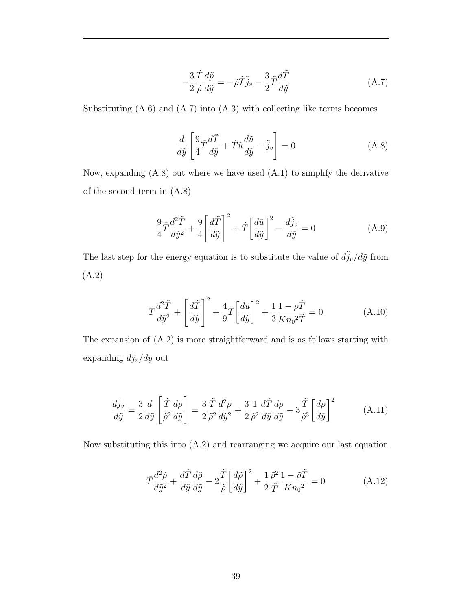$$
-\frac{3}{2}\frac{\tilde{T}}{\tilde{\rho}}\frac{d\tilde{p}}{d\tilde{y}} = -\tilde{\rho}\tilde{T}\tilde{j}_v - \frac{3}{2}\tilde{T}\frac{d\tilde{T}}{d\tilde{y}}
$$
(A.7)

Substituting  $(A.6)$  and  $(A.7)$  into  $(A.3)$  with collecting like terms becomes

$$
\frac{d}{d\tilde{y}} \left[ \frac{9}{4} \tilde{T} \frac{d\tilde{T}}{d\tilde{y}} + \tilde{T} \tilde{u} \frac{d\tilde{u}}{d\tilde{y}} - \tilde{j}_v \right] = 0 \tag{A.8}
$$

Now, expanding  $(A.8)$  out where we have used  $(A.1)$  to simplify the derivative of the second term in (A.8)

$$
\frac{9}{4}\tilde{T}\frac{d^2\tilde{T}}{d\tilde{y}^2} + \frac{9}{4}\left[\frac{d\tilde{T}}{d\tilde{y}}\right]^2 + \tilde{T}\left[\frac{d\tilde{u}}{d\tilde{y}}\right]^2 - \frac{d\tilde{j}_v}{d\tilde{y}} = 0
$$
\n(A.9)

The last step for the energy equation is to substitute the value of  $d\tilde{j}_v/d\tilde{y}$  from (A.2)

$$
\tilde{T}\frac{d^2\tilde{T}}{d\tilde{y}^2} + \left[\frac{d\tilde{T}}{d\tilde{y}}\right]^2 + \frac{4}{9}\tilde{T}\left[\frac{d\tilde{u}}{d\tilde{y}}\right]^2 + \frac{1}{3}\frac{1-\tilde{\rho}\tilde{T}}{Kn_0^2\tilde{T}} = 0
$$
\n(A.10)

The expansion of (A.2) is more straightforward and is as follows starting with expanding  $d\tilde{j}_v/d\tilde{y}$  out

$$
\frac{d\tilde{j}_v}{d\tilde{y}} = \frac{3}{2} \frac{d}{d\tilde{y}} \left[ \frac{\tilde{T}}{\tilde{\rho}^2} \frac{d\tilde{\rho}}{d\tilde{y}} \right] = \frac{3}{2} \frac{\tilde{T}}{\tilde{\rho}^2} \frac{d^2\tilde{\rho}}{d\tilde{y}^2} + \frac{3}{2} \frac{1}{\tilde{\rho}^2} \frac{d\tilde{T}}{d\tilde{y}} \frac{d\tilde{\rho}}{d\tilde{y}} - 3 \frac{\tilde{T}}{\tilde{\rho}^3} \left[ \frac{d\tilde{\rho}}{d\tilde{y}} \right]^2 \tag{A.11}
$$

Now substituting this into (A.2) and rearranging we acquire our last equation

$$
\tilde{T}\frac{d^2\tilde{\rho}}{d\tilde{y}^2} + \frac{d\tilde{T}}{d\tilde{y}}\frac{d\tilde{\rho}}{d\tilde{y}} - 2\frac{\tilde{T}}{\tilde{\rho}}\left[\frac{d\tilde{\rho}}{d\tilde{y}}\right]^2 + \frac{1}{2}\frac{\tilde{\rho}^2}{\tilde{T}}\frac{1 - \tilde{\rho}\tilde{T}}{Kn_0^2} = 0
$$
\n(A.12)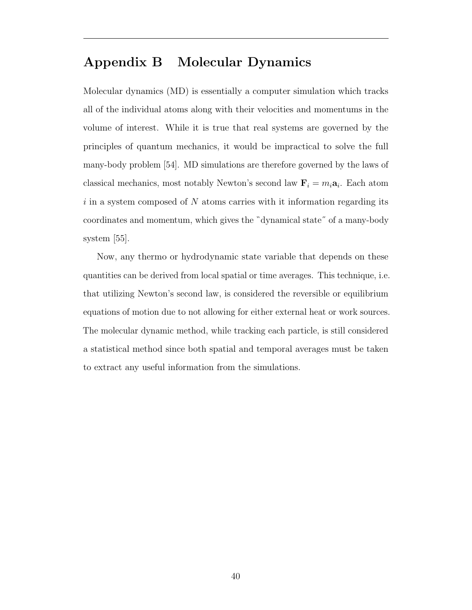# Appendix B Molecular Dynamics

Molecular dynamics (MD) is essentially a computer simulation which tracks all of the individual atoms along with their velocities and momentums in the volume of interest. While it is true that real systems are governed by the principles of quantum mechanics, it would be impractical to solve the full many-body problem [54]. MD simulations are therefore governed by the laws of classical mechanics, most notably Newton's second law  $\mathbf{F}_i = m_i \mathbf{a}_i$ . Each atom i in a system composed of  $N$  atoms carries with it information regarding its coordinates and momentum, which gives the "dynamical state" of a many-body system [55].

Now, any thermo or hydrodynamic state variable that depends on these quantities can be derived from local spatial or time averages. This technique, i.e. that utilizing Newton's second law, is considered the reversible or equilibrium equations of motion due to not allowing for either external heat or work sources. The molecular dynamic method, while tracking each particle, is still considered a statistical method since both spatial and temporal averages must be taken to extract any useful information from the simulations.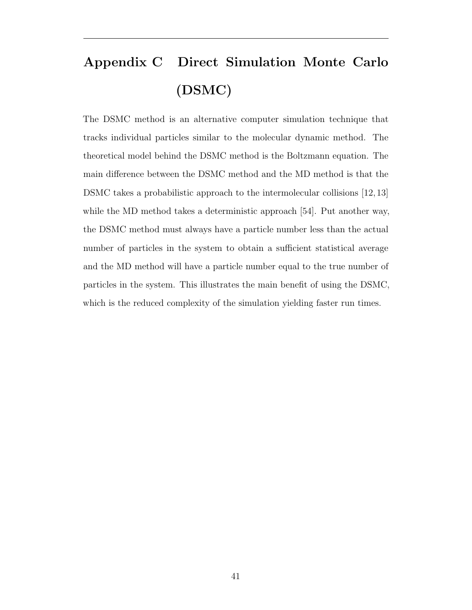# Appendix C Direct Simulation Monte Carlo (DSMC)

The DSMC method is an alternative computer simulation technique that tracks individual particles similar to the molecular dynamic method. The theoretical model behind the DSMC method is the Boltzmann equation. The main difference between the DSMC method and the MD method is that the DSMC takes a probabilistic approach to the intermolecular collisions [12, 13] while the MD method takes a deterministic approach [54]. Put another way, the DSMC method must always have a particle number less than the actual number of particles in the system to obtain a sufficient statistical average and the MD method will have a particle number equal to the true number of particles in the system. This illustrates the main benefit of using the DSMC, which is the reduced complexity of the simulation yielding faster run times.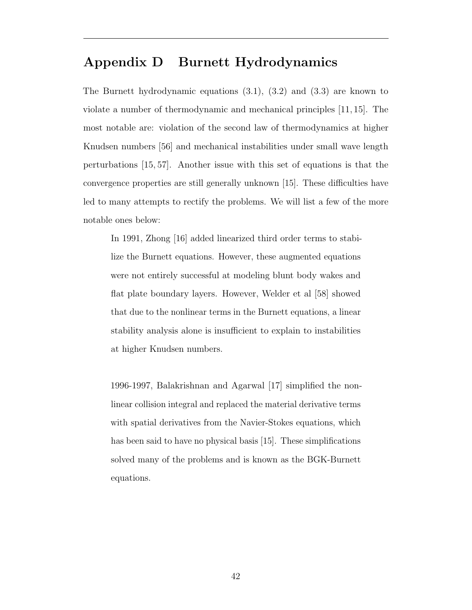# Appendix D Burnett Hydrodynamics

The Burnett hydrodynamic equations (3.1), (3.2) and (3.3) are known to violate a number of thermodynamic and mechanical principles [11, 15]. The most notable are: violation of the second law of thermodynamics at higher Knudsen numbers [56] and mechanical instabilities under small wave length perturbations [15, 57]. Another issue with this set of equations is that the convergence properties are still generally unknown [15]. These difficulties have led to many attempts to rectify the problems. We will list a few of the more notable ones below:

In 1991, Zhong [16] added linearized third order terms to stabilize the Burnett equations. However, these augmented equations were not entirely successful at modeling blunt body wakes and flat plate boundary layers. However, Welder et al [58] showed that due to the nonlinear terms in the Burnett equations, a linear stability analysis alone is insufficient to explain to instabilities at higher Knudsen numbers.

1996-1997, Balakrishnan and Agarwal [17] simplified the nonlinear collision integral and replaced the material derivative terms with spatial derivatives from the Navier-Stokes equations, which has been said to have no physical basis [15]. These simplifications solved many of the problems and is known as the BGK-Burnett equations.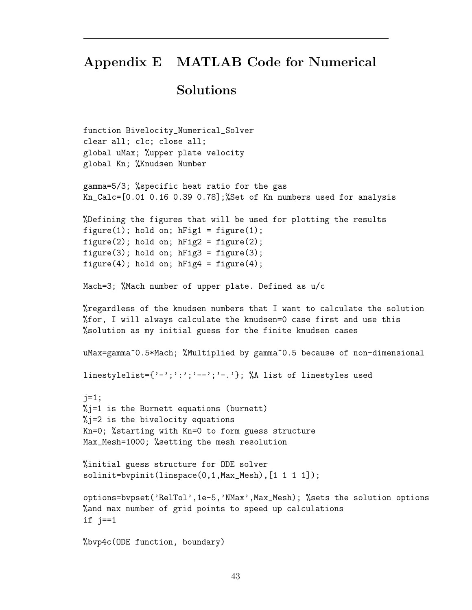# Appendix E MATLAB Code for Numerical

## Solutions

```
function Bivelocity_Numerical_Solver
clear all; clc; close all;
global uMax; %upper plate velocity
global Kn; %Knudsen Number
gamma=5/3; %specific heat ratio for the gas
Kn_Calc=[0.01 0.16 0.39 0.78];%Set of Kn numbers used for analysis
%Defining the figures that will be used for plotting the results
figure(1); hold on; hFig1 = figure(1);figure(2); hold on; hFig2 = figure(2);
figure(3); hold on; hFig3 = figure(3);figure(4); hold on; hFig4 = figure(4);
Mach=3; %Mach number of upper plate. Defined as u/c
%regardless of the knudsen numbers that I want to calculate the solution
%for, I will always calculate the knudsen=0 case first and use this
%solution as my initial guess for the finite knudsen cases
uMax=gamma^0.5*Mach; %Multiplied by gamma^0.5 because of non-dimensional
linestylelist={'-';':';'--';'-.'}; %A list of linestyles used
j=1;\frac{1}{2} is the Burnett equations (burnett)
% i=2 is the bivelocity equations
Kn=0; %starting with Kn=0 to form guess structure
Max_Mesh=1000; %setting the mesh resolution
%initial guess structure for ODE solver
solinit=bvpinit(linspace(0,1,Max_Mesh),[1 1 1 1]);
options=bvpset('RelTol',1e-5,'NMax',Max_Mesh); %sets the solution options
%and max number of grid points to speed up calculations
if j==1
%bvp4c(ODE function, boundary)
```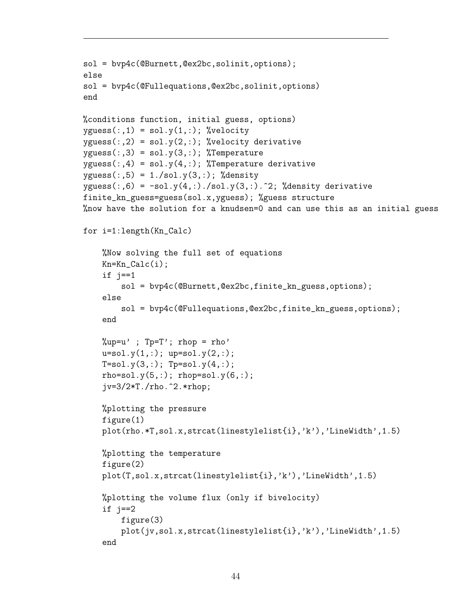```
sol = bvp4c(@Burnett,@ex2bc,solinit,options);
else
sol = bvp4c(@Fullequations,@ex2bc,solinit,options)
end
%conditions function, initial guess, options)
yguess(:,1) = sol.y(1,:); %velocityyguess(:,2) = sol.y(2,:); % velocity derivativeyguess(:,3) = sol.y(3,:); %Temperatureyguess(:,4) = sol.y(4,:); %Temperature derivativeyguess(:,5) = 1./sol.y(3,:); % densityyguess(:,6) = -sol.y(4,:)./sol.y(3,:).^2; %density derivative
finite_kn_guess=guess(sol.x,yguess); %guess structure
%now have the solution for a knudsen=0 and can use this as an initial guess
for i=1:length(Kn_Calc)
    %Now solving the full set of equations
    Kn=Kn_Calc(i);if j==1sol = bvp4c(@Burnett,@ex2bc,finite_kn_guess,options);
    else
        sol = bvp4c(@Fullequations,@ex2bc,finite_kn_guess,options);
    end
    \%up=u' ; Tp=T'; rhop = rho'
    u=sol.y(1,:); up=sol.y(2,:);T=sol.y(3,:); Tp=sol.y(4,:);rho = sol.y(5,:); rho = sol.y(6,:);
    jv=3/2*T./rho.^2.*rhop;
    %plotting the pressure
    figure(1)
    plot(rho.*T,sol.x,strcat(linestylelist{i},'k'),'LineWidth',1.5)
    %plotting the temperature
    figure(2)
    plot(T,sol.x,strcat(linestylelist{i},'k'),'LineWidth',1.5)
    %plotting the volume flux (only if bivelocity)
    if j==2
        figure(3)
        plot(jv,sol.x,strcat(linestylelist{i},'k'),'LineWidth',1.5)
    end
```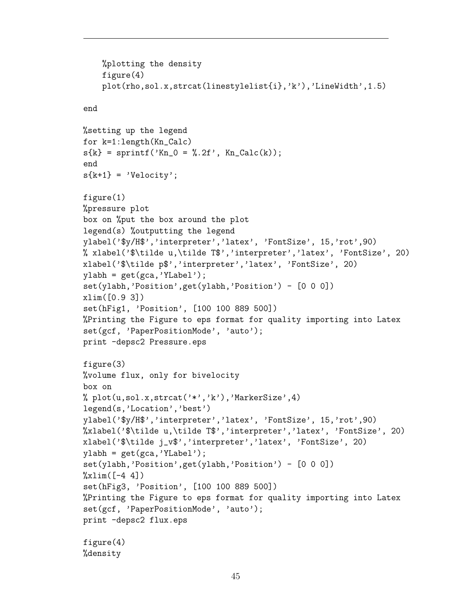```
%plotting the density
    figure(4)
    plot(rho,sol.x,strcat(linestylelist{i},'k'),'LineWidth',1.5)
end
%setting up the legend
for k=1:length(Kn_Calc)
s\{k\} = sprintf('Kn_0 = %.2f', Kn_Calc(k));
end
s{k+1} = 'Velocity';
figure(1)
%pressure plot
box on %put the box around the plot
legend(s) %outputting the legend
ylabel('$y/H$','interpreter','latex', 'FontSize', 15,'rot',90)
% xlabel('$\tilde u,\tilde T$','interpreter','latex', 'FontSize', 20)
xlabel('$\tilde p$','interpreter','latex', 'FontSize', 20)
ylabh = get(gca,'YLabel');
set(ylabh,'Position',get(ylabh,'Position') - [0 0 0])
xlim([0.9 3])
set(hFig1, 'Position', [100 100 889 500])
%Printing the Figure to eps format for quality importing into Latex
set(gcf, 'PaperPositionMode', 'auto');
print -depsc2 Pressure.eps
figure(3)
%volume flux, only for bivelocity
box on
% plot(u,sol.x,strcat('*','k'),'MarkerSize',4)
legend(s,'Location','best')
ylabel('$y/H$','interpreter','latex', 'FontSize', 15,'rot',90)
%xlabel('$\tilde u,\tilde T$','interpreter','latex', 'FontSize', 20)
xlabel('$\tilde j_v$','interpreter','latex', 'FontSize', 20)
ylabh = get(gca,'YLabel');
set(ylabh,'Position',get(ylabh,'Position') - [0 0 0])
\sqrt[6]{x}lim([-4 \ 4])set(hFig3, 'Position', [100 100 889 500])
%Printing the Figure to eps format for quality importing into Latex
set(gcf, 'PaperPositionMode', 'auto');
print -depsc2 flux.eps
figure(4)
%density
```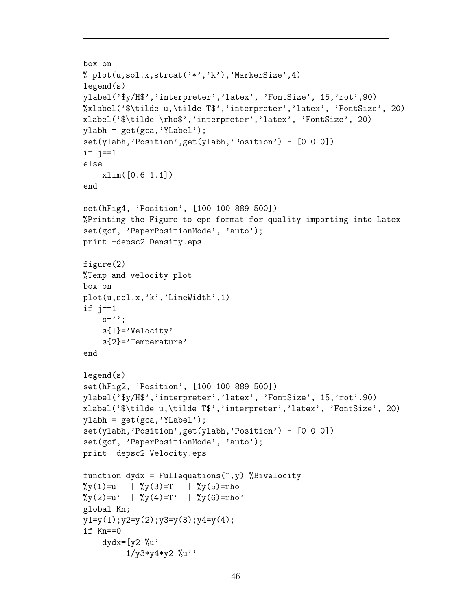```
box on
% plot(u,sol.x,strcat('*','k'),'MarkerSize',4)
legend(s)
ylabel('$y/H$','interpreter','latex', 'FontSize', 15,'rot',90)
%xlabel('$\tilde u,\tilde T$','interpreter','latex', 'FontSize', 20)
xlabel('$\tilde \rho$','interpreter','latex', 'FontSize', 20)
ylabh = get(gca, 'YLabel');
set(ylabh,'Position',get(ylabh,'Position') - [0 0 0])
if j==1else
    xlim([0.6 1.1])
end
set(hFig4, 'Position', [100 100 889 500])
%Printing the Figure to eps format for quality importing into Latex
set(gcf, 'PaperPositionMode', 'auto');
print -depsc2 Density.eps
figure(2)
%Temp and velocity plot
box on
plot(u,sol.x,'k','LineWidth',1)
if j==1s='';
    s{1}='Velocity'
    s{2}='Temperature'
end
legend(s)
set(hFig2, 'Position', [100 100 889 500])
ylabel('$y/H$','interpreter','latex', 'FontSize', 15,'rot',90)
xlabel('$\tilde u,\tilde T$','interpreter','latex', 'FontSize', 20)
ylabh = get(gca, 'YLabel');
set(ylabh,'Position',get(ylabh,'Position') - [0 0 0])
set(gcf, 'PaperPositionMode', 'auto');
print -depsc2 Velocity.eps
function dydx = Fullequations(\tilde{y}, \tilde{y}) %Bivelocity
\sqrt[6]{y(1)} = u | \sqrt[6]{y(3)} = T | \sqrt[6]{y(5)} = rho\sqrt[6]{y(2)}=u' | \sqrt[6]{y(4)}=T' | \sqrt[6]{y(6)}=rho'global Kn;
y1=y(1);y2=y(2);y3=y(3);y4=y(4);
if Kn==0
    dydx=[y2 \; \text{\%}u \cdot-1/y3*y4*y2 %u''
```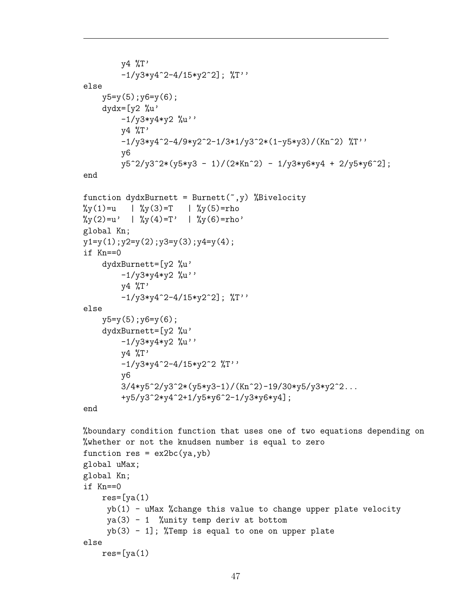```
y4 %T'
         -1/y3*y4^2-4/15*y2^2]; %T''
else
    y5=y(5);y6=y(6);dydx=[y2 \; \%u'-1/y3*y4*y2 %u''
        y4 %T'
         -1/y3*y4^2-4/9*y2^2-1/3*1/y3^2*(1-y5*y3)/(Kn^2) %T''
        y6
        y5^2/y3^2*(y5*y3 - 1)/(2*Kn^2) - 1/y3*y6*y4 + 2/y5*y6^2];end
function dydxBurnett = Burnett(\tilde{y}, \tilde{y}Bivelocity
\sqrt[6]{y(1)}=u | \sqrt[6]{y(3)}=T | \sqrt[6]{y(5)}=rho\sqrt[6]{y(2)} = u' \quad | \sqrt[6]{y(4)} = T' \quad | \sqrt[6]{y(6)} = rho'global Kn;
y1=y(1);y2=y(2);y3=y(3);y4=y(4);if Kn==0
    dydxBurnett=[y2 %u'
        -1/y3*y4*y2 %u''
        v4 \sqrt[6]{T}-1/y3*y4^2-4/15*y2^2]; %T''
else
    y5=y(5);y6=y(6);dydxBurnett=[y2 %u'
         -1/y3*y4*y2 %u''
         y4 %T'
         -1/y3*y4^2-4/15*y2^2 %T''
        y6
        3/4*y5^2/y3^2*(y5*y3-1)/(Kn^2)-19/30*y5/y3*y2^2...+y5/y3^2*y4^2+1/y5*y6^2-1/y3*y6*y4];
end
%boundary condition function that uses one of two equations depending on
%whether or not the knudsen number is equal to zero
function res = ex2bc(ya, yb)global uMax;
global Kn;
if Kn==0
    res=[va(1)]yb(1) - uMax %change this value to change upper plate velocity
     ya(3) - 1 %unity temp deriv at bottom
     yb(3) - 1; "Temp is equal to one on upper plate
else
    res=[ya(1)]
```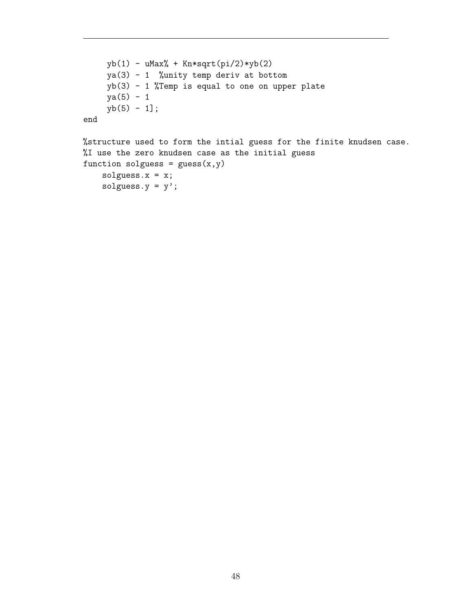```
yb(1) - uMax% + Kn*sqrt(pi/2)*yb(2)ya(3) - 1 %unity temp deriv at bottom
    yb(3) - 1 %Temp is equal to one on upper plate
    ya(5) - 1yb(5) - 1];end
%structure used to form the intial guess for the finite knudsen case.
```
%I use the zero knudsen case as the initial guess

```
function solguess = guess(x,y)solguess.x = x;
   solguess.y = y';
```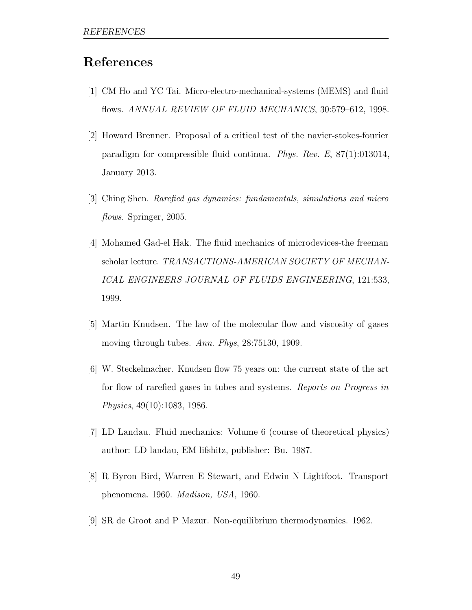# References

- [1] CM Ho and YC Tai. Micro-electro-mechanical-systems (MEMS) and fluid flows. ANNUAL REVIEW OF FLUID MECHANICS, 30:579-612, 1998.
- [2] Howard Brenner. Proposal of a critical test of the navier-stokes-fourier paradigm for compressible fluid continua. Phys. Rev. E, 87(1):013014, January 2013.
- [3] Ching Shen. Rarefied gas dynamics: fundamentals, simulations and micro flows. Springer, 2005.
- [4] Mohamed Gad-el Hak. The fluid mechanics of microdevices-the freeman scholar lecture. TRANSACTIONS-AMERICAN SOCIETY OF MECHAN-ICAL ENGINEERS JOURNAL OF FLUIDS ENGINEERING, 121:533, 1999.
- [5] Martin Knudsen. The law of the molecular flow and viscosity of gases moving through tubes. Ann. Phys, 28:75130, 1909.
- [6] W. Steckelmacher. Knudsen flow 75 years on: the current state of the art for flow of rarefied gases in tubes and systems. Reports on Progress in Physics, 49(10):1083, 1986.
- [7] LD Landau. Fluid mechanics: Volume 6 (course of theoretical physics) author: LD landau, EM lifshitz, publisher: Bu. 1987.
- [8] R Byron Bird, Warren E Stewart, and Edwin N Lightfoot. Transport phenomena. 1960. Madison, USA, 1960.
- [9] SR de Groot and P Mazur. Non-equilibrium thermodynamics. 1962.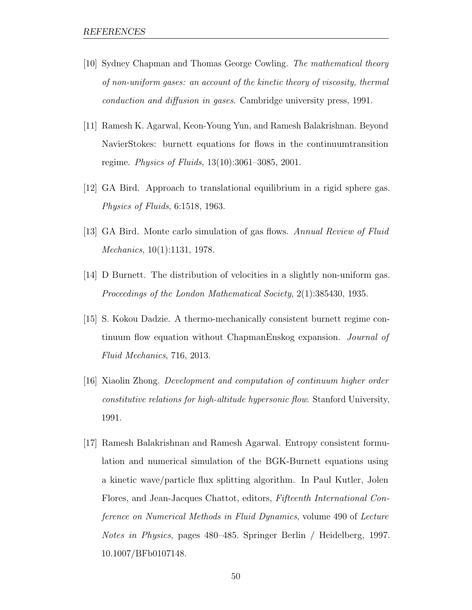- [10] Sydney Chapman and Thomas George Cowling. The mathematical theory of non-uniform gases: an account of the kinetic theory of viscosity, thermal conduction and diffusion in gases. Cambridge university press, 1991.
- [11] Ramesh K. Agarwal, Keon-Young Yun, and Ramesh Balakrishnan. Beyond NavierStokes: burnett equations for flows in the continuumtransition regime. Physics of Fluids, 13(10):3061–3085, 2001.
- [12] GA Bird. Approach to translational equilibrium in a rigid sphere gas. Physics of Fluids, 6:1518, 1963.
- [13] GA Bird. Monte carlo simulation of gas flows. Annual Review of Fluid Mechanics, 10(1):1131, 1978.
- [14] D Burnett. The distribution of velocities in a slightly non-uniform gas. Proceedings of the London Mathematical Society, 2(1):385430, 1935.
- [15] S. Kokou Dadzie. A thermo-mechanically consistent burnett regime continuum flow equation without ChapmanEnskog expansion. Journal of Fluid Mechanics, 716, 2013.
- [16] Xiaolin Zhong. Development and computation of continuum higher order constitutive relations for high-altitude hypersonic flow. Stanford University, 1991.
- [17] Ramesh Balakrishnan and Ramesh Agarwal. Entropy consistent formulation and numerical simulation of the BGK-Burnett equations using a kinetic wave/particle flux splitting algorithm. In Paul Kutler, Jolen Flores, and Jean-Jacques Chattot, editors, Fifteenth International Conference on Numerical Methods in Fluid Dynamics, volume 490 of Lecture Notes in Physics, pages 480–485. Springer Berlin / Heidelberg, 1997. 10.1007/BFb0107148.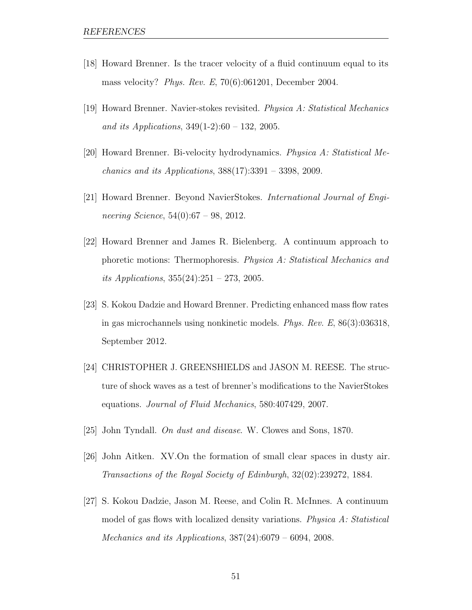- [18] Howard Brenner. Is the tracer velocity of a fluid continuum equal to its mass velocity? Phys. Rev. E, 70(6):061201, December 2004.
- [19] Howard Brenner. Navier-stokes revisited. Physica A: Statistical Mechanics and its Applications,  $349(1-2):60 - 132$ , 2005.
- [20] Howard Brenner. Bi-velocity hydrodynamics. Physica A: Statistical Me*chanics and its Applications,*  $388(17):3391 - 3398$ , 2009.
- [21] Howard Brenner. Beyond NavierStokes. International Journal of Engineering Science,  $54(0):67 - 98$ , 2012.
- [22] Howard Brenner and James R. Bielenberg. A continuum approach to phoretic motions: Thermophoresis. Physica A: Statistical Mechanics and its Applications,  $355(24):251 - 273$ , 2005.
- [23] S. Kokou Dadzie and Howard Brenner. Predicting enhanced mass flow rates in gas microchannels using nonkinetic models. Phys. Rev. E, 86(3):036318, September 2012.
- [24] CHRISTOPHER J. GREENSHIELDS and JASON M. REESE. The structure of shock waves as a test of brenner's modifications to the NavierStokes equations. Journal of Fluid Mechanics, 580:407429, 2007.
- [25] John Tyndall. On dust and disease. W. Clowes and Sons, 1870.
- [26] John Aitken. XV.On the formation of small clear spaces in dusty air. Transactions of the Royal Society of Edinburgh, 32(02):239272, 1884.
- [27] S. Kokou Dadzie, Jason M. Reese, and Colin R. McInnes. A continuum model of gas flows with localized density variations. Physica A: Statistical *Mechanics and its Applications,*  $387(24):6079 - 6094$ ,  $2008$ .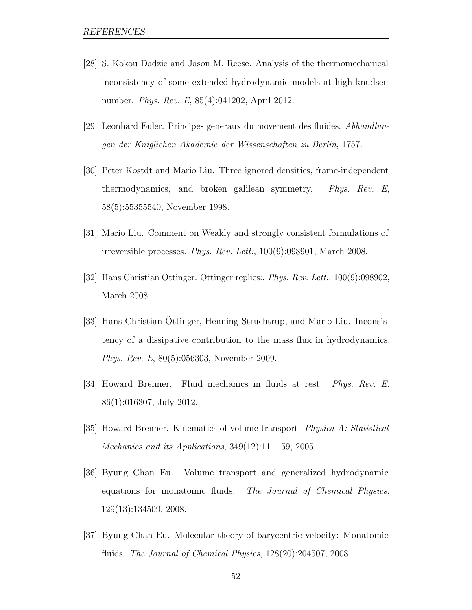- [28] S. Kokou Dadzie and Jason M. Reese. Analysis of the thermomechanical inconsistency of some extended hydrodynamic models at high knudsen number. Phys. Rev. E, 85(4):041202, April 2012.
- [29] Leonhard Euler. Principes generaux du movement des fluides. Abhandlungen der Kniglichen Akademie der Wissenschaften zu Berlin, 1757.
- [30] Peter Kostdt and Mario Liu. Three ignored densities, frame-independent thermodynamics, and broken galilean symmetry. Phys. Rev. E, 58(5):55355540, November 1998.
- [31] Mario Liu. Comment on Weakly and strongly consistent formulations of irreversible processes. Phys. Rev. Lett., 100(9):098901, March 2008.
- [32] Hans Christian Öttinger. Öttinger replies:. *Phys. Rev. Lett.*,  $100(9)$ :098902, March 2008.
- [33] Hans Christian Ottinger, Henning Struchtrup, and Mario Liu. Inconsistency of a dissipative contribution to the mass flux in hydrodynamics. Phys. Rev. E, 80(5):056303, November 2009.
- [34] Howard Brenner. Fluid mechanics in fluids at rest. Phys. Rev. E, 86(1):016307, July 2012.
- [35] Howard Brenner. Kinematics of volume transport. Physica A: Statistical Mechanics and its Applications,  $349(12):11 - 59$ , 2005.
- [36] Byung Chan Eu. Volume transport and generalized hydrodynamic equations for monatomic fluids. The Journal of Chemical Physics, 129(13):134509, 2008.
- [37] Byung Chan Eu. Molecular theory of barycentric velocity: Monatomic fluids. The Journal of Chemical Physics,  $128(20):204507$ ,  $2008$ .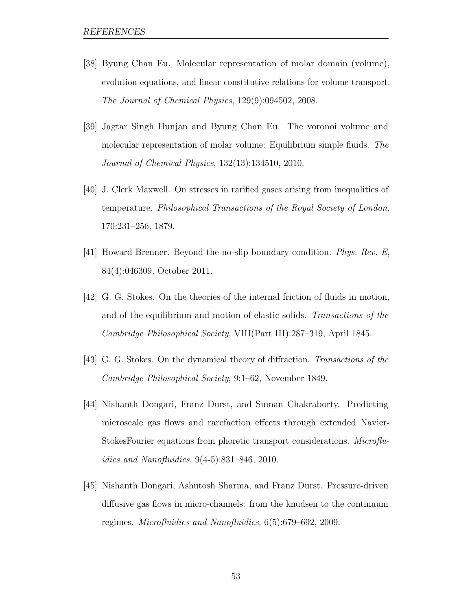- [38] Byung Chan Eu. Molecular representation of molar domain (volume), evolution equations, and linear constitutive relations for volume transport. The Journal of Chemical Physics, 129(9):094502, 2008.
- [39] Jagtar Singh Hunjan and Byung Chan Eu. The voronoi volume and molecular representation of molar volume: Equilibrium simple fluids. The Journal of Chemical Physics, 132(13):134510, 2010.
- [40] J. Clerk Maxwell. On stresses in rarified gases arising from inequalities of temperature. Philosophical Transactions of the Royal Society of London, 170:231–256, 1879.
- [41] Howard Brenner. Beyond the no-slip boundary condition. Phys. Rev. E, 84(4):046309, October 2011.
- [42] G. G. Stokes. On the theories of the internal friction of fluids in motion, and of the equilibrium and motion of elastic solids. Transactions of the Cambridge Philosophical Society, VIII(Part III):287–319, April 1845.
- [43] G. G. Stokes. On the dynamical theory of diffraction. Transactions of the Cambridge Philosophical Society, 9:1–62, November 1849.
- [44] Nishanth Dongari, Franz Durst, and Suman Chakraborty. Predicting microscale gas flows and rarefaction effects through extended Navier-StokesFourier equations from phoretic transport considerations. Microfluidics and Nanofluidics, 9(4-5):831–846, 2010.
- [45] Nishanth Dongari, Ashutosh Sharma, and Franz Durst. Pressure-driven diffusive gas flows in micro-channels: from the knudsen to the continuum regimes. Microfluidics and Nanofluidics, 6(5):679–692, 2009.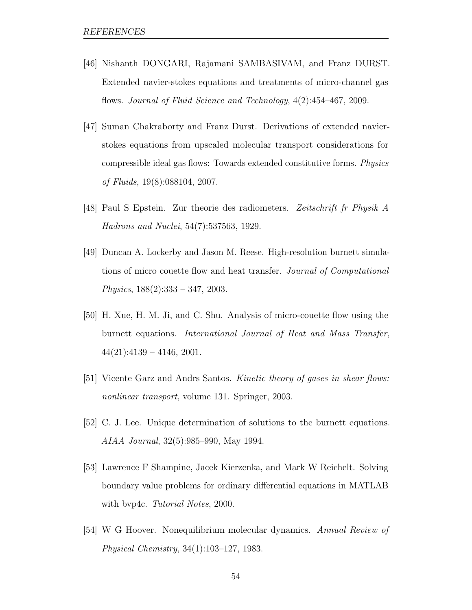- [46] Nishanth DONGARI, Rajamani SAMBASIVAM, and Franz DURST. Extended navier-stokes equations and treatments of micro-channel gas flows. Journal of Fluid Science and Technology, 4(2):454–467, 2009.
- [47] Suman Chakraborty and Franz Durst. Derivations of extended navierstokes equations from upscaled molecular transport considerations for compressible ideal gas flows: Towards extended constitutive forms. Physics of Fluids, 19(8):088104, 2007.
- [48] Paul S Epstein. Zur theorie des radiometers. Zeitschrift fr Physik A Hadrons and Nuclei, 54(7):537563, 1929.
- [49] Duncan A. Lockerby and Jason M. Reese. High-resolution burnett simulations of micro couette flow and heat transfer. Journal of Computational Physics,  $188(2):333 - 347, 2003$ .
- [50] H. Xue, H. M. Ji, and C. Shu. Analysis of micro-couette flow using the burnett equations. International Journal of Heat and Mass Transfer,  $44(21):4139 - 4146, 2001.$
- [51] Vicente Garz and Andrs Santos. Kinetic theory of gases in shear flows: nonlinear transport, volume 131. Springer, 2003.
- [52] C. J. Lee. Unique determination of solutions to the burnett equations. AIAA Journal, 32(5):985–990, May 1994.
- [53] Lawrence F Shampine, Jacek Kierzenka, and Mark W Reichelt. Solving boundary value problems for ordinary differential equations in MATLAB with bvp4c. Tutorial Notes, 2000.
- [54] W G Hoover. Nonequilibrium molecular dynamics. Annual Review of Physical Chemistry, 34(1):103–127, 1983.